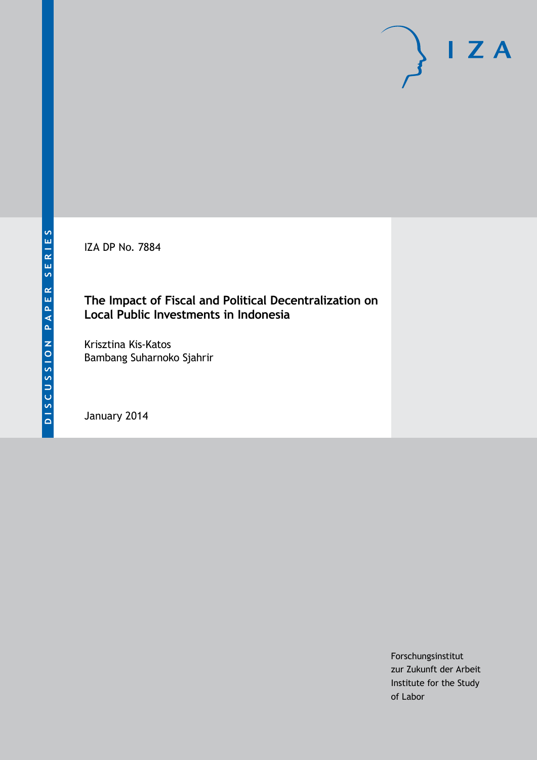IZA DP No. 7884

## **The Impact of Fiscal and Political Decentralization on Local Public Investments in Indonesia**

Krisztina Kis-Katos Bambang Suharnoko Sjahrir

January 2014

Forschungsinstitut zur Zukunft der Arbeit Institute for the Study of Labor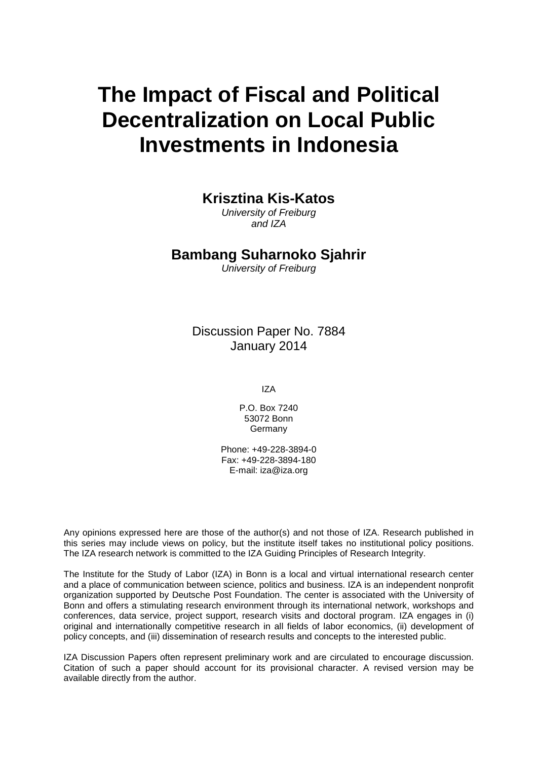# **The Impact of Fiscal and Political Decentralization on Local Public Investments in Indonesia**

**Krisztina Kis-Katos**

*University of Freiburg and IZA*

### **Bambang Suharnoko Sjahrir**

*University of Freiburg*

Discussion Paper No. 7884 January 2014

IZA

P.O. Box 7240 53072 Bonn **Germany** 

Phone: +49-228-3894-0 Fax: +49-228-3894-180 E-mail: [iza@iza.org](mailto:iza@iza.org)

Any opinions expressed here are those of the author(s) and not those of IZA. Research published in this series may include views on policy, but the institute itself takes no institutional policy positions. The IZA research network is committed to the IZA Guiding Principles of Research Integrity.

The Institute for the Study of Labor (IZA) in Bonn is a local and virtual international research center and a place of communication between science, politics and business. IZA is an independent nonprofit organization supported by Deutsche Post Foundation. The center is associated with the University of Bonn and offers a stimulating research environment through its international network, workshops and conferences, data service, project support, research visits and doctoral program. IZA engages in (i) original and internationally competitive research in all fields of labor economics, (ii) development of policy concepts, and (iii) dissemination of research results and concepts to the interested public.

<span id="page-1-0"></span>IZA Discussion Papers often represent preliminary work and are circulated to encourage discussion. Citation of such a paper should account for its provisional character. A revised version may be available directly from the author.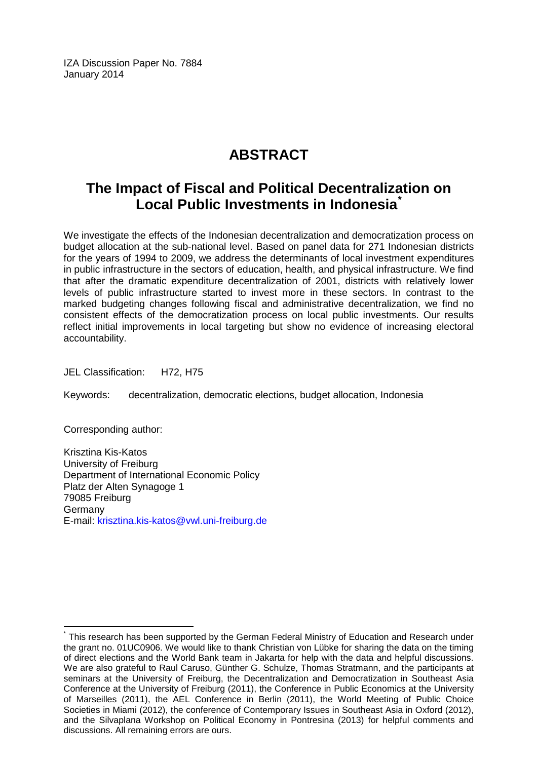IZA Discussion Paper No. 7884 January 2014

# **ABSTRACT**

# **The Impact of Fiscal and Political Decentralization on Local Public Investments in Indonesia[\\*](#page-1-0)**

We investigate the effects of the Indonesian decentralization and democratization process on budget allocation at the sub-national level. Based on panel data for 271 Indonesian districts for the years of 1994 to 2009, we address the determinants of local investment expenditures in public infrastructure in the sectors of education, health, and physical infrastructure. We find that after the dramatic expenditure decentralization of 2001, districts with relatively lower levels of public infrastructure started to invest more in these sectors. In contrast to the marked budgeting changes following fiscal and administrative decentralization, we find no consistent effects of the democratization process on local public investments. Our results reflect initial improvements in local targeting but show no evidence of increasing electoral accountability.

JEL Classification: H72, H75

Keywords: decentralization, democratic elections, budget allocation, Indonesia

Corresponding author:

Krisztina Kis-Katos University of Freiburg Department of International Economic Policy Platz der Alten Synagoge 1 79085 Freiburg Germany E-mail: [krisztina.kis-katos@vwl.uni-freiburg.de](mailto:krisztina.kis-katos@vwl.uni-freiburg.de)

This research has been supported by the German Federal Ministry of Education and Research under the grant no. 01UC0906. We would like to thank Christian von Lübke for sharing the data on the timing of direct elections and the World Bank team in Jakarta for help with the data and helpful discussions. We are also grateful to Raul Caruso, Günther G. Schulze, Thomas Stratmann, and the participants at seminars at the University of Freiburg, the Decentralization and Democratization in Southeast Asia Conference at the University of Freiburg (2011), the Conference in Public Economics at the University of Marseilles (2011), the AEL Conference in Berlin (2011), the World Meeting of Public Choice Societies in Miami (2012), the conference of Contemporary Issues in Southeast Asia in Oxford (2012), and the Silvaplana Workshop on Political Economy in Pontresina (2013) for helpful comments and discussions. All remaining errors are ours.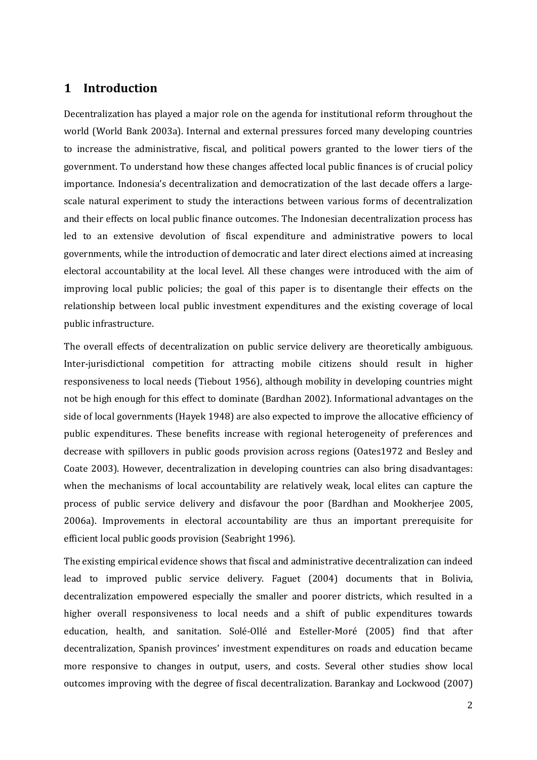#### **1 Introduction**

Decentralization has played a major role on the agenda for institutional reform throughout the world (World Bank 2003a). Internal and external pressures forced many developing countries to increase the administrative, fiscal, and political powers granted to the lower tiers of the government. To understand how these changes affected local public finances is of crucial policy importance. Indonesia's decentralization and democratization of the last decade offers a largescale natural experiment to study the interactions between various forms of decentralization and their effects on local public finance outcomes. The Indonesian decentralization process has led to an extensive devolution of fiscal expenditure and administrative powers to local governments, while the introduction of democratic and later direct elections aimed at increasing electoral accountability at the local level. All these changes were introduced with the aim of improving local public policies; the goal of this paper is to disentangle their effects on the relationship between local public investment expenditures and the existing coverage of local public infrastructure.

The overall effects of decentralization on public service delivery are theoretically ambiguous. Inter-jurisdictional competition for attracting mobile citizens should result in higher responsiveness to local needs (Tiebout 1956), although mobility in developing countries might not be high enough for this effect to dominate (Bardhan 2002). Informational advantages on the side of local governments (Hayek 1948) are also expected to improve the allocative efficiency of public expenditures. These benefits increase with regional heterogeneity of preferences and decrease with spillovers in public goods provision across regions (Oates1972 and Besley and Coate 2003). However, decentralization in developing countries can also bring disadvantages: when the mechanisms of local accountability are relatively weak, local elites can capture the process of public service delivery and disfavour the poor (Bardhan and Mookherjee 2005, 2006a). Improvements in electoral accountability are thus an important prerequisite for efficient local public goods provision (Seabright 1996).

The existing empirical evidence shows that fiscal and administrative decentralization can indeed lead to improved public service delivery. Faguet (2004) documents that in Bolivia, decentralization empowered especially the smaller and poorer districts, which resulted in a higher overall responsiveness to local needs and a shift of public expenditures towards education, health, and sanitation. Solé-Ollé and Esteller-Moré (2005) find that after decentralization, Spanish provinces' investment expenditures on roads and education became more responsive to changes in output, users, and costs. Several other studies show local outcomes improving with the degree of fiscal decentralization. Barankay and Lockwood (2007)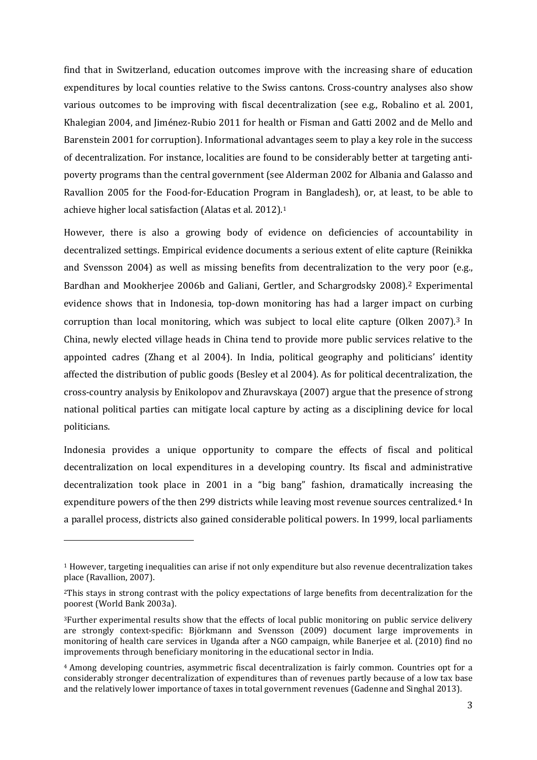find that in Switzerland, education outcomes improve with the increasing share of education expenditures by local counties relative to the Swiss cantons. Cross-country analyses also show various outcomes to be improving with fiscal decentralization (see e.g., Robalino et al. 2001, Khalegian 2004, and Jiménez-Rubio 2011 for health or Fisman and Gatti 2002 and de Mello and Barenstein 2001 for corruption). Informational advantages seem to play a key role in the success of decentralization. For instance, localities are found to be considerably better at targeting antipoverty programs than the central government (see Alderman 2002 for Albania and Galasso and Ravallion 2005 for the Food-for-Education Program in Bangladesh), or, at least, to be able to achieve higher local satisfaction (Alatas et al. 2012).1

However, there is also a growing body of evidence on deficiencies of accountability in decentralized settings. Empirical evidence documents a serious extent of elite capture (Reinikka and Svensson 2004) as well as missing benefits from decentralization to the [ve](#page-4-0)ry poor (e.g., Bardhan and Mookherjee 2006b and Galiani, Gertler, and Schargrodsky 2008).<sup>2</sup> Experimental evidence shows that in Indonesia, top-down monitoring has had a larger impact on cur[bi](#page-4-1)ng corruption than local monitoring, which was subject to local elite capture (Olken 2007).<sup>3</sup> In China, newly elected village heads in China tend to provide more public services relative to the appointed cadres (Zhang et al 2004). In India, political geography and politicians' identity affected the distribution of public goods (Besley et al 2004). As for political decentralization, the cross-country analysis by Enikolopov and Zhuravskaya (2007) argue that the presence of strong national political parties can mitigate local capture by acting as a disciplining device for local politicians.

Indonesia provides a unique opportunity to compare the effects of fiscal and political decentralization on local expenditures in a developing country. Its fiscal and administrative decentralization took place in 2001 in a "big bang" fashion, dramatically increasing the expenditure powers of the then 299 districts while leaving most revenue sources centralized.<sup>[4](#page-4-2)</sup> In a parallel process, districts also gained considerable political powers. In 1999, local parliaments

j

<sup>1</sup> However, targeting inequalities can arise if not only expenditure but also revenue decentralization takes place (Ravallion, 2007).

<span id="page-4-0"></span><sup>2</sup>This stays in strong contrast with the policy expectations of large benefits from decentralization for the poorest (World Bank 2003a).

<span id="page-4-1"></span><sup>3</sup>Further experimental results show that the effects of local public monitoring on public service delivery are strongly context-specific: Björkmann and Svensson (2009) document large improvements in monitoring of health care services in Uganda after a NGO campaign, while Banerjee et al. (2010) find no improvements through beneficiary monitoring in the educational sector in India.

<span id="page-4-3"></span><span id="page-4-2"></span><sup>4</sup> Among developing countries, asymmetric fiscal decentralization is fairly common. Countries opt for a considerably stronger decentralization of expenditures than of revenues partly because of a low tax base and the relatively lower importance of taxes in total government revenues (Gadenne and Singhal 2013).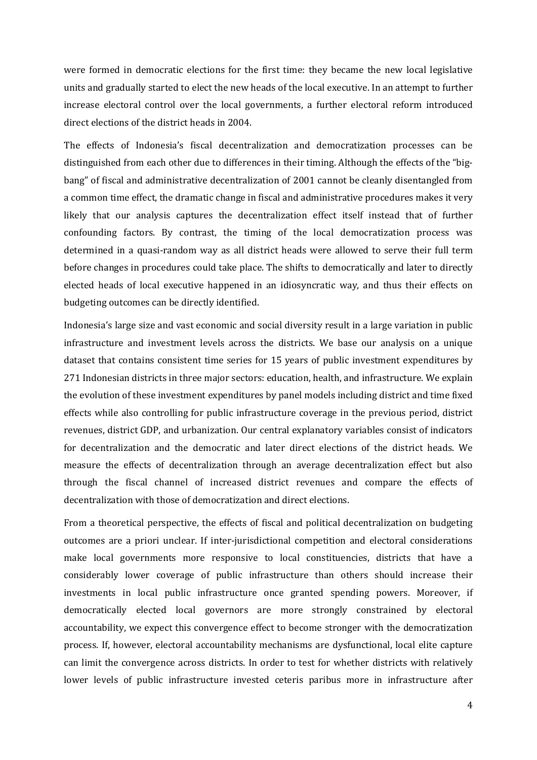were formed in democratic elections for the first time: they became the new local legislative units and gradually started to elect the new heads of the local executive. In an attempt to further increase electoral control over the local governments, a further electoral reform introduced direct elections of the district heads in 2004.

The effects of Indonesia's fiscal decentralization and democratization processes can be distinguished from each other due to differences in their timing. Although the effects of the "bigbang" of fiscal and administrative decentralization of 2001 cannot be cleanly disentangled from a common time effect, the dramatic change in fiscal and administrative procedures makes it very likely that our analysis captures the decentralization effect itself instead that of further confounding factors. By contrast, the timing of the local democratization process was determined in a quasi-random way as all district heads were allowed to serve their full term before changes in procedures could take place. The shifts to democratically and later to directly elected heads of local executive happened in an idiosyncratic way, and thus their effects on budgeting outcomes can be directly identified.

Indonesia's large size and vast economic and social diversity result in a large variation in public infrastructure and investment levels across the districts. We base our analysis on a unique dataset that contains consistent time series for 15 years of public investment expenditures by 271 Indonesian districts in three major sectors: education, health, and infrastructure. We explain the evolution of these investment expenditures by panel models including district and time fixed effects while also controlling for public infrastructure coverage in the previous period, district revenues, district GDP, and urbanization. Our central explanatory variables consist of indicators for decentralization and the democratic and later direct elections of the district heads. We measure the effects of decentralization through an average decentralization effect but also through the fiscal channel of increased district revenues and compare the effects of decentralization with those of democratization and direct elections.

From a theoretical perspective, the effects of fiscal and political decentralization on budgeting outcomes are a priori unclear. If inter-jurisdictional competition and electoral considerations make local governments more responsive to local constituencies, districts that have a considerably lower coverage of public infrastructure than others should increase their investments in local public infrastructure once granted spending powers. Moreover, if democratically elected local governors are more strongly constrained by electoral accountability, we expect this convergence effect to become stronger with the democratization process. If, however, electoral accountability mechanisms are dysfunctional, local elite capture can limit the convergence across districts. In order to test for whether districts with relatively lower levels of public infrastructure invested ceteris paribus more in infrastructure after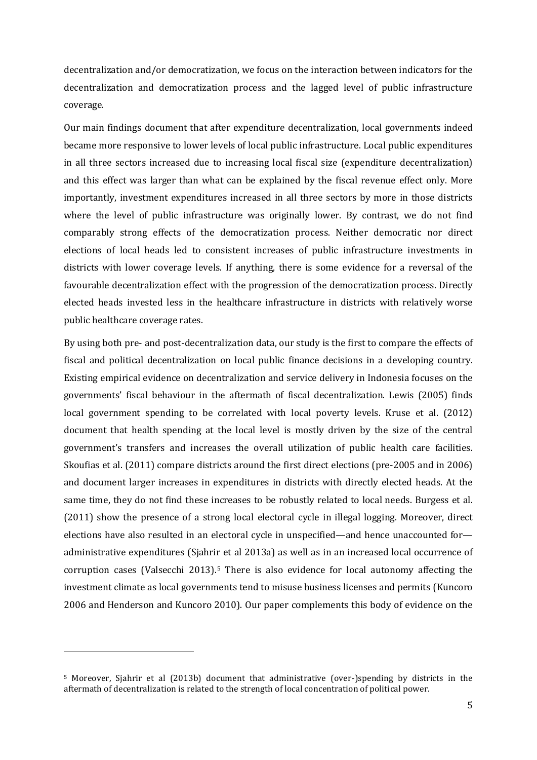decentralization and/or democratization, we focus on the interaction between indicators for the decentralization and democratization process and the lagged level of public infrastructure coverage.

Our main findings document that after expenditure decentralization, local governments indeed became more responsive to lower levels of local public infrastructure. Local public expenditures in all three sectors increased due to increasing local fiscal size (expenditure decentralization) and this effect was larger than what can be explained by the fiscal revenue effect only. More importantly, investment expenditures increased in all three sectors by more in those districts where the level of public infrastructure was originally lower. By contrast, we do not find comparably strong effects of the democratization process. Neither democratic nor direct elections of local heads led to consistent increases of public infrastructure investments in districts with lower coverage levels. If anything, there is some evidence for a reversal of the favourable decentralization effect with the progression of the democratization process. Directly elected heads invested less in the healthcare infrastructure in districts with relatively worse public healthcare coverage rates.

By using both pre- and post-decentralization data, our study is the first to compare the effects of fiscal and political decentralization on local public finance decisions in a developing country. Existing empirical evidence on decentralization and service delivery in Indonesia focuses on the governments' fiscal behaviour in the aftermath of fiscal decentralization. Lewis (2005) finds local government spending to be correlated with local poverty levels. Kruse et al. (2012) document that health spending at the local level is mostly driven by the size of the central government's transfers and increases the overall utilization of public health care facilities. Skoufias et al. (2011) compare districts around the first direct elections (pre-2005 and in 2006) and document larger increases in expenditures in districts with directly elected heads. At the same time, they do not find these increases to be robustly related to local needs. Burgess et al. (2011) show the presence of a strong local electoral cycle in illegal logging. Moreover, direct elections have also resulted in an electoral cycle in unspecified—and hence unaccounted for administrative expenditures (Sjahrir et al 2013a) as well as in an increased local occurrence of corruption cases (Valsecchi 2013).<sup>[5](#page-4-3)</sup> There is also evidence for local autonomy affecting the investment climate as local governments tend to misuse business licenses and permits (Kuncoro 2006 and Henderson and Kuncoro 2010). Our paper complements this body of evidence on the

<span id="page-6-0"></span>-

<sup>5</sup> Moreover, Sjahrir et al (2013b) document that administrative (over-)spending by districts in the aftermath of decentralization is related to the strength of local concentration of political power.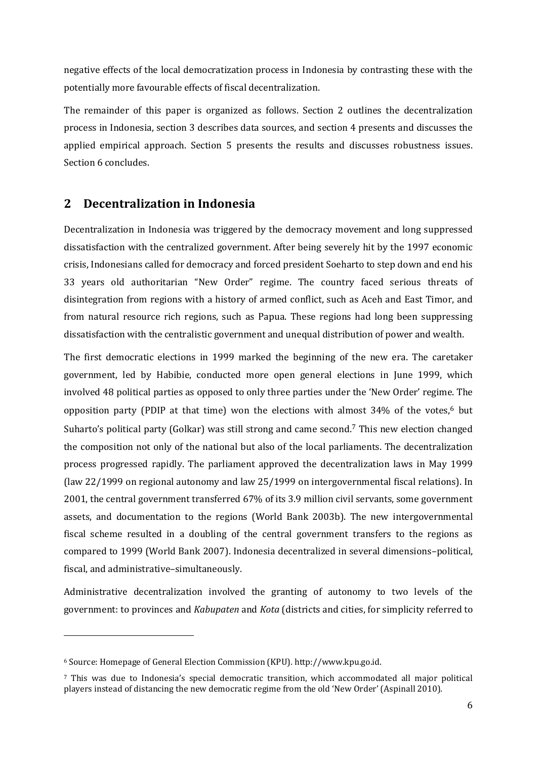negative effects of the local democratization process in Indonesia by contrasting these with the potentially more favourable effects of fiscal decentralization.

The remainder of this paper is organized as follows. Section [2](#page-7-0) outlines the decentralization process in Indonesia, section [3](#page-11-0) describes data sources, and section [4](#page-13-0) presents and discusses the applied empirical approach. Section [5](#page-17-0) presents the results and discusses robustness issues. Section [6](#page-19-0) concludes.

#### <span id="page-7-0"></span>**2 Decentralization in Indonesia**

Decentralization in Indonesia was triggered by the democracy movement and long suppressed dissatisfaction with the centralized government. After being severely hit by the 1997 economic crisis, Indonesians called for democracy and forced president Soeharto to step down and end his 33 years old authoritarian "New Order" regime. The country faced serious threats of disintegration from regions with a history of armed conflict, such as Aceh and East Timor, and from natural resource rich regions, such as Papua. These regions had long been suppressing dissatisfaction with the centralistic government and unequal distribution of power and wealth.

The first democratic elections in 1999 marked the beginning of the new era. The caretaker government, led by Habibie, conducted more open general elections in June 1999, which involved 48 political parties as opposed to only three parties under the 'New Order' regim[e.](#page-6-0) The opposition party (PDIP at that time) won the elections with al[mo](#page-7-1)st  $34\%$  of the votes,<sup>6</sup> but Suharto's political party (Golkar) was still strong and came second.<sup>7</sup> This new election changed the composition not only of the national but also of the local parliaments. The decentralization process progressed rapidly. The parliament approved the decentralization laws in May 1999 (law 22/1999 on regional autonomy and law 25/1999 on intergovernmental fiscal relations). In 2001, the central government transferred 67% of its 3.9 million civil servants, some government assets, and documentation to the regions (World Bank 2003b). The new intergovernmental fiscal scheme resulted in a doubling of the central government transfers to the regions as compared to 1999 (World Bank 2007). Indonesia decentralized in several dimensions–political, fiscal, and administrative–simultaneously.

Administrative decentralization involved the granting of autonomy to two levels of the government: to provinces and *Kabupaten* and *Kota* (districts and cities, for simplicity referred to

j

<span id="page-7-2"></span><sup>6</sup> Source: Homepage of General Election Commission (KPU). http://www.kpu.go.id.

<span id="page-7-1"></span><sup>7</sup> This was due to Indonesia's special democratic transition, which accommodated all major political players instead of distancing the new democratic regime from the old 'New Order' (Aspinall 2010).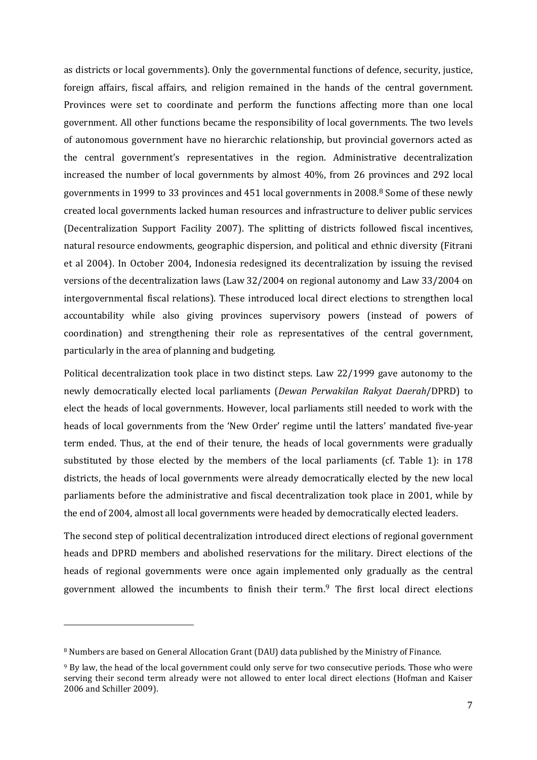as districts or local governments). Only the governmental functions of defence, security, justice, foreign affairs, fiscal affairs, and religion remained in the hands of the central government. Provinces were set to coordinate and perform the functions affecting more than one local government. All other functions became the responsibility of local governments. The two levels of autonomous government have no hierarchic relationship, but provincial governors acted as the central government's representatives in the region. Administrative decentralization increased the number of local governments by almost 40%, from 26 pr[o](#page-7-2)vinces and 292 local governments in 1999 to 33 provinces and 451 local governments in 2008.<sup>8</sup> Some of these newly created local governments lacked human resources and infrastructure to deliver public services (Decentralization Support Facility 2007). The splitting of districts followed fiscal incentives, natural resource endowments, geographic dispersion, and political and ethnic diversity (Fitrani et al 2004). In October 2004, Indonesia redesigned its decentralization by issuing the revised versions of the decentralization laws (Law 32/2004 on regional autonomy and Law 33/2004 on intergovernmental fiscal relations). These introduced local direct elections to strengthen local accountability while also giving provinces supervisory powers (instead of powers of coordination) and strengthening their role as representatives of the central government, particularly in the area of planning and budgeting.

Political decentralization took place in two distinct steps. Law 22/1999 gave autonomy to the newly democratically elected local parliaments (*Dewan Perwakilan Rakyat Daerah*/DPRD) to elect the heads of local governments. However, local parliaments still needed to work with the heads of local governments from the 'New Order' regime until the latters' mandated five-year term ended. Thus, at the end of their tenure, the heads of local governments were gradually substituted by those elected by the members of the local parliaments (cf. Table 1): in 178 districts, the heads of local governments were already democratically elected by the new local parliaments before the administrative and fiscal decentralization took place in 2001, while by the end of 2004, almost all local governments were headed by democratically elected leaders.

The second step of political decentralization introduced direct elections of regional government heads and DPRD members and abolished reservations for the military. Direct elections of the heads of regional governments were once again impleme[nte](#page-8-0)d only gradually as the central government allowed the incumbents to finish their term.<sup>9</sup> The first local direct elections

j

<span id="page-8-1"></span><sup>8</sup> Numbers are based on General Allocation Grant (DAU) data published by the Ministry of Finance.

<span id="page-8-0"></span><sup>9</sup> By law, the head of the local government could only serve for two consecutive periods. Those who were serving their second term already were not allowed to enter local direct elections (Hofman and Kaiser 2006 and Schiller 2009).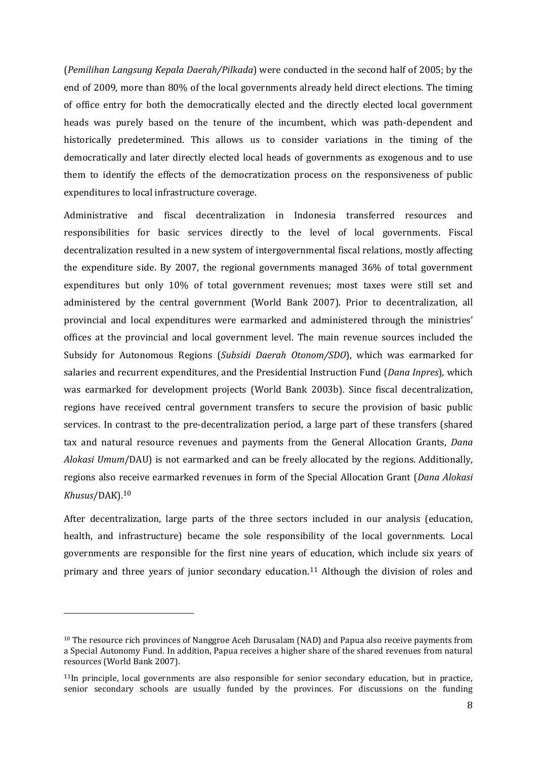(*Pemilihan Langsung Kepala Daerah/Pilkada*) were conducted in the second half of 2005; by the end of 2009, more than 80% of the local governments already held direct elections. The timing of office entry for both the democratically elected and the directly elected local government heads was purely based on the tenure of the incumbent, which was path-dependent and historically predetermined. This allows us to consider variations in the timing of the democratically and later directly elected local heads of governments as exogenous and to use them to identify the effects of the democratization process on the responsiveness of public expenditures to local infrastructure coverage.

Administrative and fiscal decentralization in Indonesia transferred resources and responsibilities for basic services directly to the level of local governments. Fiscal decentralization resulted in a new system of intergovernmental fiscal relations, mostly affecting the expenditure side. By 2007, the regional governments managed 36% of total government expenditures but only 10% of total government revenues; most taxes were still set and administered by the central government (World Bank 2007). Prior to decentralization, all provincial and local expenditures were earmarked and administered through the ministries' offices at the provincial and local government level. The main revenue sources included the Subsidy for Autonomous Regions (*Subsidi Daerah Otonom/SDO*), which was earmarked for salaries and recurrent expenditures, and the Presidential Instruction Fund (*Dana Inpres*), which was earmarked for development projects (World Bank 2003b). Since fiscal decentralization, regions have received central government transfers to secure the provision of basic public services. In contrast to the pre-decentralization period, a large part of these transfers (shared tax and natural resource revenues and payments from the General Allocation Grants, *Dana Alokasi Umum*/DAU) is not earmarked and can be freely allocated by the regions. Additionally, regions also r[ec](#page-8-1)eive earmarked revenues in form of the Special Allocation Grant (*Dana Alokasi Khusus*/DAK).<sup>10</sup>

After decentralization, large parts of the three sectors included in our analysis (education, health, and infrastructure) became the sole responsibility of the local governments. Local governments are responsible for the first nine years of [ed](#page-9-0)ucation, which include six years of primary and three years of junior secondary education.<sup>11</sup> Although the division of roles and

-

<sup>10</sup> The resource rich provinces of Nanggroe Aceh Darusalam (NAD) and Papua also receive payments from a Special Autonomy Fund. In addition, Papua receives a higher share of the shared revenues from natural resources (World Bank 2007).

<span id="page-9-1"></span><span id="page-9-0"></span><sup>11</sup>In principle, local governments are also responsible for senior secondary education, but in practice, senior secondary schools are usually funded by the provinces. For discussions on the funding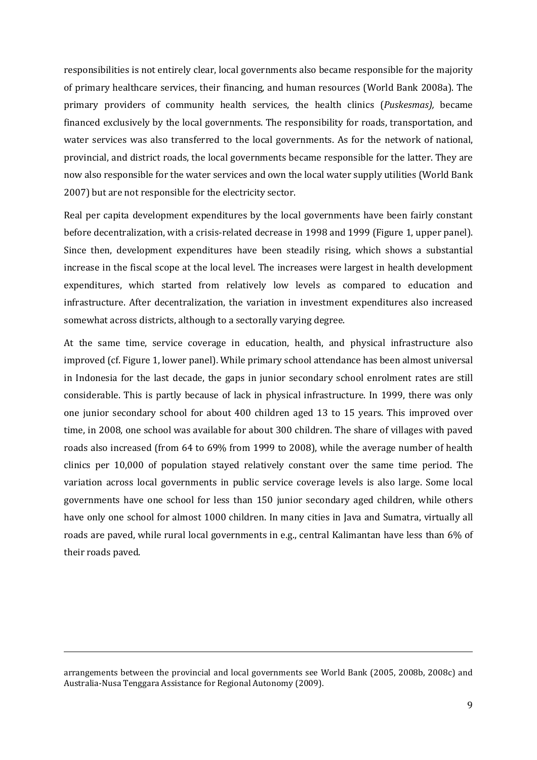responsibilities is not entirely clear, local governments also became responsible for the majority of primary healthcare services, their financing, and human resources (World Bank 2008a). The primary providers of community health services, the health clinics (*Puskesmas),* became financed exclusively by the local governments. The responsibility for roads, transportation, and water services was also transferred to the local governments. As for the network of national, provincial, and district roads, the local governments became responsible for the latter. They are now also responsible for the water services and own the local water supply utilities (World Bank 2007) but are not responsible for the electricity sector.

Real per capita development expenditures by the local governments have been fairly constant before decentralization, with a crisis-related decrease in 1998 and 1999 (Figure 1, upper panel). Since then, development expenditures have been steadily rising, which shows a substantial increase in the fiscal scope at the local level. The increases were largest in health development expenditures, which started from relatively low levels as compared to education and infrastructure. After decentralization, the variation in investment expenditures also increased somewhat across districts, although to a sectorally varying degree.

At the same time, service coverage in education, health, and physical infrastructure also improved (cf. Figure 1, lower panel). While primary school attendance has been almost universal in Indonesia for the last decade, the gaps in junior secondary school enrolment rates are still considerable. This is partly because of lack in physical infrastructure. In 1999, there was only one junior secondary school for about 400 children aged 13 to 15 years. This improved over time, in 2008, one school was available for about 300 children. The share of villages with paved roads also increased (from 64 to 69% from 1999 to 2008), while the average number of health clinics per 10,000 of population stayed relatively constant over the same time period. The variation across local governments in public service coverage levels is also large. Some local governments have one school for less than 150 junior secondary aged children, while others have only one school for almost 1000 children. In many cities in Java and Sumatra, virtually all roads are paved, while rural local governments in e.g., central Kalimantan have less than 6% of their roads paved.

-

arrangements between the provincial and local governments see World Bank (2005, 2008b, 2008c) and Australia-Nusa Tenggara Assistance for Regional Autonomy (2009).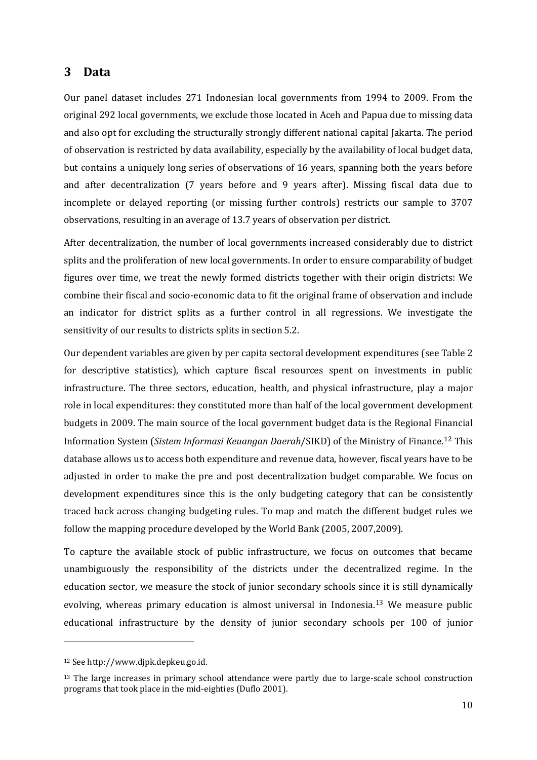#### <span id="page-11-0"></span>**3 Data**

Our panel dataset includes 271 Indonesian local governments from 1994 to 2009. From the original 292 local governments, we exclude those located in Aceh and Papua due to missing data and also opt for excluding the structurally strongly different national capital Jakarta. The period of observation is restricted by data availability, especially by the availability of local budget data, but contains a uniquely long series of observations of 16 years, spanning both the years before and after decentralization (7 years before and 9 years after). Missing fiscal data due to incomplete or delayed reporting (or missing further controls) restricts our sample to 3707 observations, resulting in an average of 13.7 years of observation per district.

After decentralization, the number of local governments increased considerably due to district splits and the proliferation of new local governments. In order to ensure comparability of budget figures over time, we treat the newly formed districts together with their origin districts: We combine their fiscal and socio-economic data to fit the original frame of observation and include an indicator for district splits as a further control in all regressions. We investigate the sensitivity of our results to districts splits in sectio[n 5.2.](#page-19-1)

Our dependent variables are given by per capita sectoral development expenditures (see [Table 2](#page-27-0) for descriptive statistics), which capture fiscal resources spent on investments in public infrastructure. The three sectors, education, health, and physical infrastructure, play a major role in local expenditures: they constituted more than half of the local government development budgets in 2009. The main source of the local government budget data is the Regional Fi[na](#page-9-1)ncial Information System (*Sistem Informasi Keuangan Daerah*/SIKD) of the Ministry of Finance.<sup>12</sup> This database allows us to access both expenditure and revenue data, however, fiscal years have to be adjusted in order to make the pre and post decentralization budget comparable. We focus on development expenditures since this is the only budgeting category that can be consistently traced back across changing budgeting rules. To map and match the different budget rules we follow the mapping procedure developed by the World Bank (2005, 2007,2009).

To capture the available stock of public infrastructure, we focus on outcomes that became unambiguously the responsibility of the districts under the decentralized regime. In the education sector, we measure the stock of junior secondary schools sinc[e](#page-11-1) it is still dynamically evolving, whereas primary education is almost universal in Indonesia.<sup>13</sup> We measure public educational infrastructure by the density of junior secondary schools per 100 of junior

<span id="page-11-2"></span>j

<sup>12</sup> See http://www.djpk.depkeu.go.id.

<span id="page-11-1"></span><sup>13</sup> The large increases in primary school attendance were partly due to large-scale school construction programs that took place in the mid-eighties (Duflo 2001).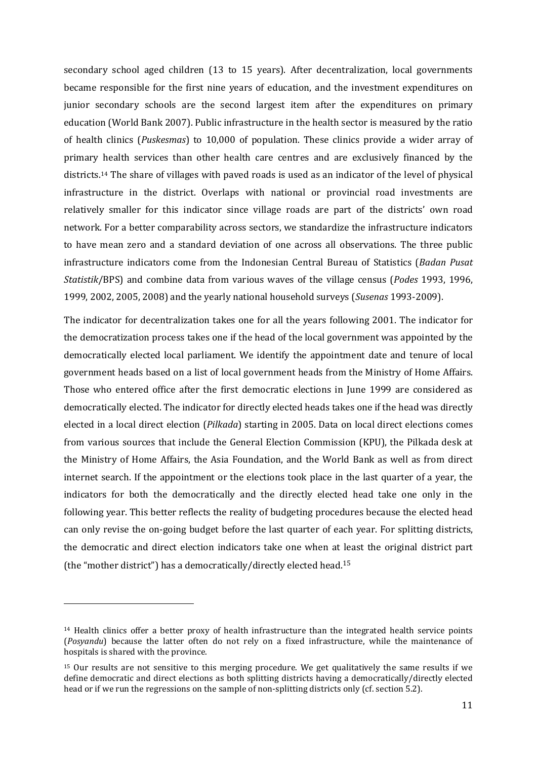secondary school aged children (13 to 15 years). After decentralization, local governments became responsible for the first nine years of education, and the investment expenditures on junior secondary schools are the second largest item after the expenditures on primary education (World Bank 2007). Public infrastructure in the health sector is measured by the ratio of health clinics (*Puskesmas*) to 10,000 of population. These clinics provide a wider array of primary health services than other health care centres and are exclusively financed by the districts.[14](#page-11-2) The share of villages with paved roads is used as an indicator of the level of physical infrastructure in the district. Overlaps with national or provincial road investments are relatively smaller for this indicator since village roads are part of the districts' own road network. For a better comparability across sectors, we standardize the infrastructure indicators to have mean zero and a standard deviation of one across all observations. The three public infrastructure indicators come from the Indonesian Central Bureau of Statistics (*Badan Pusat Statistik*/BPS) and combine data from various waves of the village census (*Podes* 1993, 1996, 1999, 2002, 2005, 2008) and the yearly national household surveys (*Susenas* 1993-2009).

The indicator for decentralization takes one for all the years following 2001. The indicator for the democratization process takes one if the head of the local government was appointed by the democratically elected local parliament. We identify the appointment date and tenure of local government heads based on a list of local government heads from the Ministry of Home Affairs. Those who entered office after the first democratic elections in June 1999 are considered as democratically elected. The indicator for directly elected heads takes one if the head was directly elected in a local direct election (*Pilkada*) starting in 2005. Data on local direct elections comes from various sources that include the General Election Commission (KPU), the Pilkada desk at the Ministry of Home Affairs, the Asia Foundation, and the World Bank as well as from direct internet search. If the appointment or the elections took place in the last quarter of a year, the indicators for both the democratically and the directly elected head take one only in the following year. This better reflects the reality of budgeting procedures because the elected head can only revise the on-going budget before the last quarter of each year. For splitting districts, the democratic and direct election indicators take one when at [le](#page-12-0)ast the original district part (the "mother district") has a democratically/directly elected head.<sup>15</sup>

-

<sup>&</sup>lt;sup>14</sup> Health clinics offer a better proxy of health infrastructure than the integrated health service points (*Posyandu*) because the latter often do not rely on a fixed infrastructure, while the maintenance of hospitals is shared with the province.

<span id="page-12-1"></span><span id="page-12-0"></span><sup>&</sup>lt;sup>15</sup> Our results are not sensitive to this merging procedure. We get qualitatively the same results if we define democratic and direct elections as both splitting districts having a democratically/directly elected head or if we run the regressions on the sample of non-splitting districts only (cf. section [5.2\)](#page-19-1).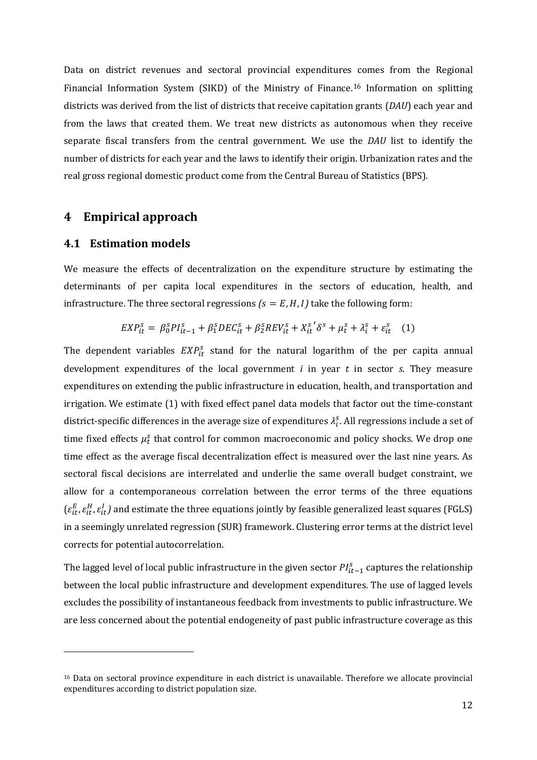Data on district revenues and sectoral provincial expenditures [c](#page-12-1)omes from the Regional Financial Information System (SIKD) of the Ministry of Finance.<sup>16</sup> Information on splitting districts was derived from the list of districts that receive capitation grants (*DAU*) each year and from the laws that created them. We treat new districts as autonomous when they receive separate fiscal transfers from the central government. We use the *DAU* list to identify the number of districts for each year and the laws to identify their origin. Urbanization rates and the real gross regional domestic product come from the Central Bureau of Statistics (BPS).

#### <span id="page-13-0"></span>**4 Empirical approach**

#### **4.1 Estimation models**

<span id="page-13-1"></span>-

We measure the effects of decentralization on the expenditure structure by estimating the determinants of per capita local expenditures in the sectors of education, health, and infrastructure. The three sectoral regressions  $(s = E, H, I)$  take the following form:

$$
EXP_{it}^s = \beta_0^s PI_{it-1}^s + \beta_1^s DEC_{it}^s + \beta_2^s REV_{it}^s + X_{it}^{s'}\delta^s + \mu_t^s + \lambda_i^s + \varepsilon_{it}^s \quad (1)
$$

The dependent variables  $EXP_{it}^s$  stand for the natural logarithm of the per capita annual development expenditures of the local government *i* in year *t* in sector *s*. They measure expenditures on extending the public infrastructure in education, health, and transportation and irrigation. We estimate (1) with fixed effect panel data models that factor out the time-constant district-specific differences in the average size of expenditures  $\lambda_i^s$ . All regressions include a set of time fixed effects  $\mu_t^s$  that control for common macroeconomic and policy shocks. We drop one time effect as the average fiscal decentralization effect is measured over the last nine years. As sectoral fiscal decisions are interrelated and underlie the same overall budget constraint, we allow for a contemporaneous correlation between the error terms of the three equations  $(\varepsilon_{it}^E, \varepsilon_{it}^H, \varepsilon_{it}^I)$  and estimate the three equations jointly by feasible generalized least squares (FGLS) in a seemingly unrelated regression (SUR) framework. Clustering error terms at the district level corrects for potential autocorrelation.

The lagged level of local public infrastructure in the given sector  $PI_{it-1}^s$  captures the relationship between the local public infrastructure and development expenditures. The use of lagged levels excludes the possibility of instantaneous feedback from investments to public infrastructure. We are less concerned about the potential endogeneity of past public infrastructure coverage as this

<sup>16</sup> Data on sectoral province expenditure in each district is unavailable. Therefore we allocate provincial expenditures according to district population size.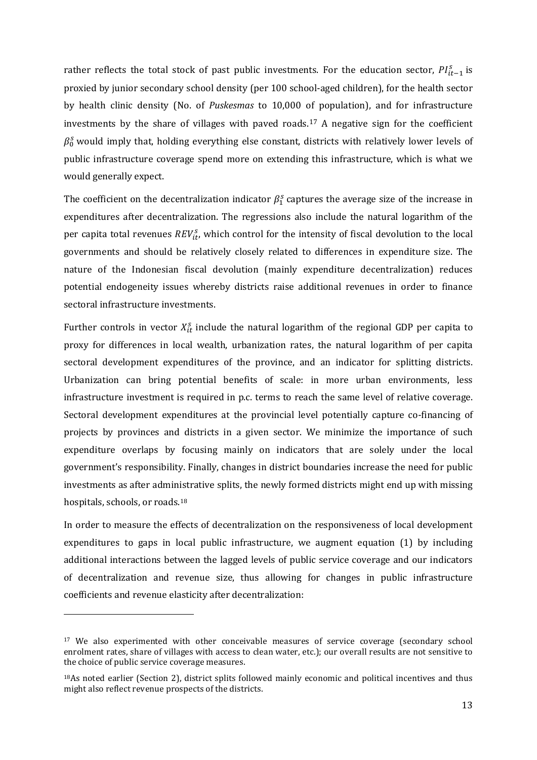rather reflects the total stock of past public investments. For the education sector,  $PI_{it-1}^s$  is proxied by junior secondary school density (per 100 school-aged children), for the health sector by health clinic density (No. of *Puskesmas* to 10,000 [of](#page-13-1) population), and for infrastructure investments by the share of villages with paved roads.<sup>17</sup> A negative sign for the coefficient  $\beta^s_0$  would imply that, holding everything else constant, districts with relatively lower levels of public infrastructure coverage spend more on extending this infrastructure, which is what we would generally expect.

The coefficient on the decentralization indicator  $\beta_1^s$  captures the average size of the increase in expenditures after decentralization. The regressions also include the natural logarithm of the per capita total revenues  $REV_{it}^s$ , which control for the intensity of fiscal devolution to the local governments and should be relatively closely related to differences in expenditure size. The nature of the Indonesian fiscal devolution (mainly expenditure decentralization) reduces potential endogeneity issues whereby districts raise additional revenues in order to finance sectoral infrastructure investments.

Further controls in vector  $X_{it}^s$  include the natural logarithm of the regional GDP per capita to proxy for differences in local wealth, urbanization rates, the natural logarithm of per capita sectoral development expenditures of the province, and an indicator for splitting districts. Urbanization can bring potential benefits of scale: in more urban environments, less infrastructure investment is required in p.c. terms to reach the same level of relative coverage. Sectoral development expenditures at the provincial level potentially capture co-financing of projects by provinces and districts in a given sector. We minimize the importance of such expenditure overlaps by focusing mainly on indicators that are solely under the local government's responsibility. Finally, changes in district boundaries increase the need for public investments as after administrative splits, the newly formed districts might end up with missing hospitals, schools, or roads.[18](#page-14-0)

In order to measure the effects of decentralization on the responsiveness of local development expenditures to gaps in local public infrastructure, we augment equation (1) by including additional interactions between the lagged levels of public service coverage and our indicators of decentralization and revenue size, thus allowing for changes in public infrastructure coefficients and revenue elasticity after decentralization:

j

<sup>&</sup>lt;sup>17</sup> We also experimented with other conceivable measures of service coverage (secondary school enrolment rates, share of villages with access to clean water, etc.); our overall results are not sensitive to the choice of public service coverage measures.

<span id="page-14-0"></span><sup>18</sup>As noted earlier (Section 2), district splits followed mainly economic and political incentives and thus might also reflect revenue prospects of the districts.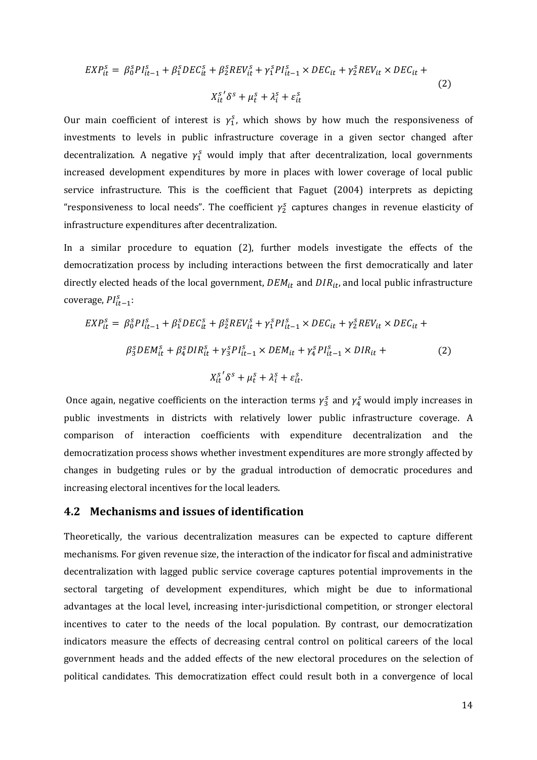$$
EXP_{it}^{s} = \beta_0^{s}PI_{it-1}^{s} + \beta_1^{s}DEC_{it}^{s} + \beta_2^{s}REV_{it}^{s} + \gamma_1^{s}PI_{it-1}^{s} \times DEC_{it} + \gamma_2^{s}REV_{it} \times DEC_{it} +
$$
  

$$
X_{it}^{s'}\delta^{s} + \mu_t^{s} + \lambda_i^{s} + \varepsilon_{it}^{s}
$$
 (2)

Our main coefficient of interest is  $\gamma_1^s$ , which shows by how much the responsiveness of investments to levels in public infrastructure coverage in a given sector changed after decentralization. A negative  $\gamma_1^s$  would imply that after decentralization, local governments increased development expenditures by more in places with lower coverage of local public service infrastructure. This is the coefficient that Faguet (2004) interprets as depicting "responsiveness to local needs". The coefficient  $\gamma_2^s$  captures changes in revenue elasticity of infrastructure expenditures after decentralization.

In a similar procedure to equation (2), further models investigate the effects of the democratization process by including interactions between the first democratically and later directly elected heads of the local government,  $DEM_{it}$  and  $DIR_{it}$ , and local public infrastructure coverage,  $PI_{it-1}^s$ :

$$
EXP_{it}^{s} = \beta_0^s PI_{it-1}^s + \beta_1^s DEC_{it}^s + \beta_2^s REV_{it}^s + \gamma_1^sPI_{it-1}^s \times DEC_{it} + \gamma_2^s REV_{it} \times DEC_{it} +
$$
  

$$
\beta_3^s DEM_{it}^s + \beta_4^s DIR_{it}^s + \gamma_3^sPI_{it-1}^s \times DEM_{it} + \gamma_4^sPI_{it-1}^s \times DIR_{it} +
$$
  

$$
X_{it}^{s'} \delta^s + \mu_t^s + \lambda_i^s + \varepsilon_{it}^s.
$$
 (2)

Once again, negative coefficients on the interaction terms  $\gamma_3^s$  and  $\gamma_4^s$  would imply increases in public investments in districts with relatively lower public infrastructure coverage. A comparison of interaction coefficients with expenditure decentralization and the democratization process shows whether investment expenditures are more strongly affected by changes in budgeting rules or by the gradual introduction of democratic procedures and increasing electoral incentives for the local leaders.

#### **4.2 Mechanisms and issues of identification**

Theoretically, the various decentralization measures can be expected to capture different mechanisms. For given revenue size, the interaction of the indicator for fiscal and administrative decentralization with lagged public service coverage captures potential improvements in the sectoral targeting of development expenditures, which might be due to informational advantages at the local level, increasing inter-jurisdictional competition, or stronger electoral incentives to cater to the needs of the local population. By contrast, our democratization indicators measure the effects of decreasing central control on political careers of the local government heads and the added effects of the new electoral procedures on the selection of political candidates. This democratization effect could result both in a convergence of local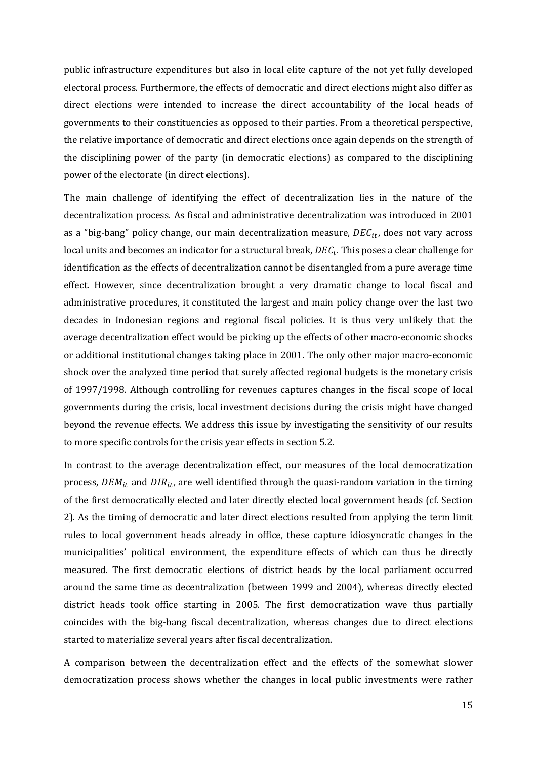public infrastructure expenditures but also in local elite capture of the not yet fully developed electoral process. Furthermore, the effects of democratic and direct elections might also differ as direct elections were intended to increase the direct accountability of the local heads of governments to their constituencies as opposed to their parties. From a theoretical perspective, the relative importance of democratic and direct elections once again depends on the strength of the disciplining power of the party (in democratic elections) as compared to the disciplining power of the electorate (in direct elections).

The main challenge of identifying the effect of decentralization lies in the nature of the decentralization process. As fiscal and administrative decentralization was introduced in 2001 as a "big-bang" policy change, our main decentralization measure,  $DEC_{it}$ , does not vary across local units and becomes an indicator for a structural break, *DEC<sub>t</sub>*. This poses a clear challenge for identification as the effects of decentralization cannot be disentangled from a pure average time effect. However, since decentralization brought a very dramatic change to local fiscal and administrative procedures, it constituted the largest and main policy change over the last two decades in Indonesian regions and regional fiscal policies. It is thus very unlikely that the average decentralization effect would be picking up the effects of other macro-economic shocks or additional institutional changes taking place in 2001. The only other major macro-economic shock over the analyzed time period that surely affected regional budgets is the monetary crisis of 1997/1998. Although controlling for revenues captures changes in the fiscal scope of local governments during the crisis, local investment decisions during the crisis might have changed beyond the revenue effects. We address this issue by investigating the sensitivity of our results to more specific controls for the crisis year effects in section [5.2.](#page-19-1)

In contrast to the average decentralization effect, our measures of the local democratization process,  $DEM_{it}$  and  $DIR_{it}$ , are well identified through the quasi-random variation in the timing of the first democratically elected and later directly elected local government heads (cf. Section 2). As the timing of democratic and later direct elections resulted from applying the term limit rules to local government heads already in office, these capture idiosyncratic changes in the municipalities' political environment, the expenditure effects of which can thus be directly measured. The first democratic elections of district heads by the local parliament occurred around the same time as decentralization (between 1999 and 2004), whereas directly elected district heads took office starting in 2005. The first democratization wave thus partially coincides with the big-bang fiscal decentralization, whereas changes due to direct elections started to materialize several years after fiscal decentralization.

A comparison between the decentralization effect and the effects of the somewhat slower democratization process shows whether the changes in local public investments were rather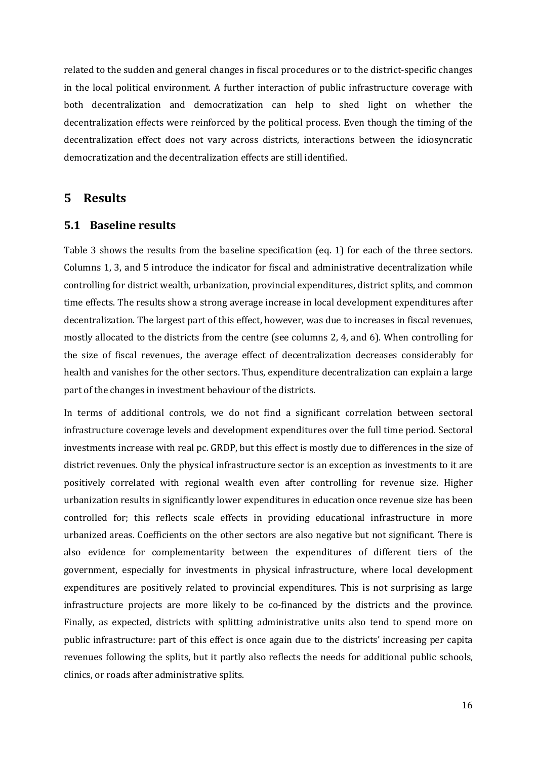related to the sudden and general changes in fiscal procedures or to the district-specific changes in the local political environment. A further interaction of public infrastructure coverage with both decentralization and democratization can help to shed light on whether the decentralization effects were reinforced by the political process. Even though the timing of the decentralization effect does not vary across districts, interactions between the idiosyncratic democratization and the decentralization effects are still identified.

#### <span id="page-17-0"></span>**5 Results**

#### **5.1 Baseline results**

[Table 3](#page-28-0) shows the results from the baseline specification (eq. 1) for each of the three sectors. Columns 1, 3, and 5 introduce the indicator for fiscal and administrative decentralization while controlling for district wealth, urbanization, provincial expenditures, district splits, and common time effects. The results show a strong average increase in local development expenditures after decentralization. The largest part of this effect, however, was due to increases in fiscal revenues, mostly allocated to the districts from the centre (see columns 2, 4, and 6). When controlling for the size of fiscal revenues, the average effect of decentralization decreases considerably for health and vanishes for the other sectors. Thus, expenditure decentralization can explain a large part of the changes in investment behaviour of the districts.

In terms of additional controls, we do not find a significant correlation between sectoral infrastructure coverage levels and development expenditures over the full time period. Sectoral investments increase with real pc. GRDP, but this effect is mostly due to differences in the size of district revenues. Only the physical infrastructure sector is an exception as investments to it are positively correlated with regional wealth even after controlling for revenue size. Higher urbanization results in significantly lower expenditures in education once revenue size has been controlled for; this reflects scale effects in providing educational infrastructure in more urbanized areas. Coefficients on the other sectors are also negative but not significant. There is also evidence for complementarity between the expenditures of different tiers of the government, especially for investments in physical infrastructure, where local development expenditures are positively related to provincial expenditures. This is not surprising as large infrastructure projects are more likely to be co-financed by the districts and the province. Finally, as expected, districts with splitting administrative units also tend to spend more on public infrastructure: part of this effect is once again due to the districts' increasing per capita revenues following the splits, but it partly also reflects the needs for additional public schools, clinics, or roads after administrative splits.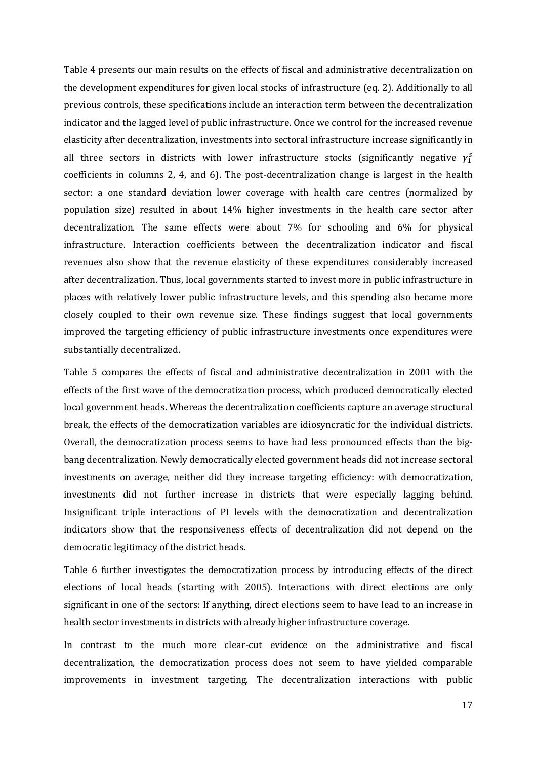[Table 4](#page-29-0) presents our main results on the effects of fiscal and administrative decentralization on the development expenditures for given local stocks of infrastructure (eq. 2). Additionally to all previous controls, these specifications include an interaction term between the decentralization indicator and the lagged level of public infrastructure. Once we control for the increased revenue elasticity after decentralization, investments into sectoral infrastructure increase significantly in all three sectors in districts with lower infrastructure stocks (significantly negative  $\gamma_1^s$ coefficients in columns 2, 4, and 6). The post-decentralization change is largest in the health sector: a one standard deviation lower coverage with health care centres (normalized by population size) resulted in about 14% higher investments in the health care sector after decentralization. The same effects were about 7% for schooling and 6% for physical infrastructure. Interaction coefficients between the decentralization indicator and fiscal revenues also show that the revenue elasticity of these expenditures considerably increased after decentralization. Thus, local governments started to invest more in public infrastructure in places with relatively lower public infrastructure levels, and this spending also became more closely coupled to their own revenue size. These findings suggest that local governments improved the targeting efficiency of public infrastructure investments once expenditures were substantially decentralized.

[Table 5](#page-30-0) compares the effects of fiscal and administrative decentralization in 2001 with the effects of the first wave of the democratization process, which produced democratically elected local government heads. Whereas the decentralization coefficients capture an average structural break, the effects of the democratization variables are idiosyncratic for the individual districts. Overall, the democratization process seems to have had less pronounced effects than the bigbang decentralization. Newly democratically elected government heads did not increase sectoral investments on average, neither did they increase targeting efficiency: with democratization, investments did not further increase in districts that were especially lagging behind. Insignificant triple interactions of PI levels with the democratization and decentralization indicators show that the responsiveness effects of decentralization did not depend on the democratic legitimacy of the district heads.

Table 6 further investigates the democratization process by introducing effects of the direct elections of local heads (starting with 2005). Interactions with direct elections are only significant in one of the sectors: If anything, direct elections seem to have lead to an increase in health sector investments in districts with already higher infrastructure coverage.

In contrast to the much more clear-cut evidence on the administrative and fiscal decentralization, the democratization process does not seem to have yielded comparable improvements in investment targeting. The decentralization interactions with public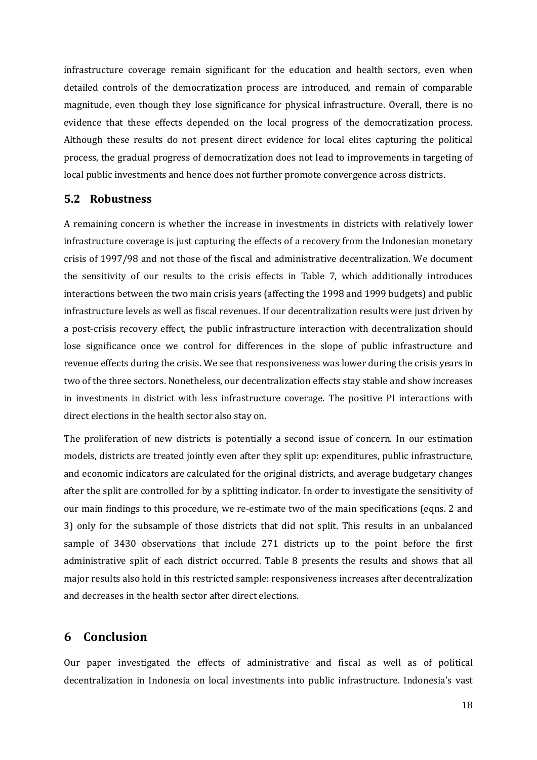infrastructure coverage remain significant for the education and health sectors, even when detailed controls of the democratization process are introduced, and remain of comparable magnitude, even though they lose significance for physical infrastructure. Overall, there is no evidence that these effects depended on the local progress of the democratization process. Although these results do not present direct evidence for local elites capturing the political process, the gradual progress of democratization does not lead to improvements in targeting of local public investments and hence does not further promote convergence across districts.

#### <span id="page-19-1"></span>**5.2 Robustness**

A remaining concern is whether the increase in investments in districts with relatively lower infrastructure coverage is just capturing the effects of a recovery from the Indonesian monetary crisis of 1997/98 and not those of the fiscal and administrative decentralization. We document the sensitivity of our results to the crisis effects in [Table 7,](#page-32-0) which additionally introduces interactions between the two main crisis years (affecting the 1998 and 1999 budgets) and public infrastructure levels as well as fiscal revenues. If our decentralization results were just driven by a post-crisis recovery effect, the public infrastructure interaction with decentralization should lose significance once we control for differences in the slope of public infrastructure and revenue effects during the crisis. We see that responsiveness was lower during the crisis years in two of the three sectors. Nonetheless, our decentralization effects stay stable and show increases in investments in district with less infrastructure coverage. The positive PI interactions with direct elections in the health sector also stay on.

The proliferation of new districts is potentially a second issue of concern. In our estimation models, districts are treated jointly even after they split up: expenditures, public infrastructure, and economic indicators are calculated for the original districts, and average budgetary changes after the split are controlled for by a splitting indicator. In order to investigate the sensitivity of our main findings to this procedure, we re-estimate two of the main specifications (eqns. 2 and 3) only for the subsample of those districts that did not split. This results in an unbalanced sample of 3430 observations that include 271 districts up to the point before the first administrative split of each district occurred. [Table 8](#page-33-0) presents the results and shows that all major results also hold in this restricted sample: responsiveness increases after decentralization and decreases in the health sector after direct elections.

#### <span id="page-19-0"></span>**6 Conclusion**

Our paper investigated the effects of administrative and fiscal as well as of political decentralization in Indonesia on local investments into public infrastructure. Indonesia's vast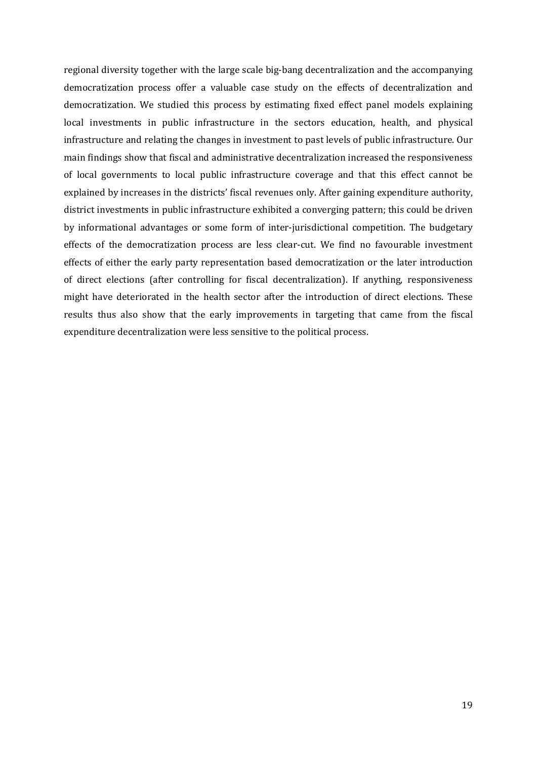regional diversity together with the large scale big-bang decentralization and the accompanying democratization process offer a valuable case study on the effects of decentralization and democratization. We studied this process by estimating fixed effect panel models explaining local investments in public infrastructure in the sectors education, health, and physical infrastructure and relating the changes in investment to past levels of public infrastructure. Our main findings show that fiscal and administrative decentralization increased the responsiveness of local governments to local public infrastructure coverage and that this effect cannot be explained by increases in the districts' fiscal revenues only. After gaining expenditure authority, district investments in public infrastructure exhibited a converging pattern; this could be driven by informational advantages or some form of inter-jurisdictional competition. The budgetary effects of the democratization process are less clear-cut. We find no favourable investment effects of either the early party representation based democratization or the later introduction of direct elections (after controlling for fiscal decentralization). If anything, responsiveness might have deteriorated in the health sector after the introduction of direct elections. These results thus also show that the early improvements in targeting that came from the fiscal expenditure decentralization were less sensitive to the political process.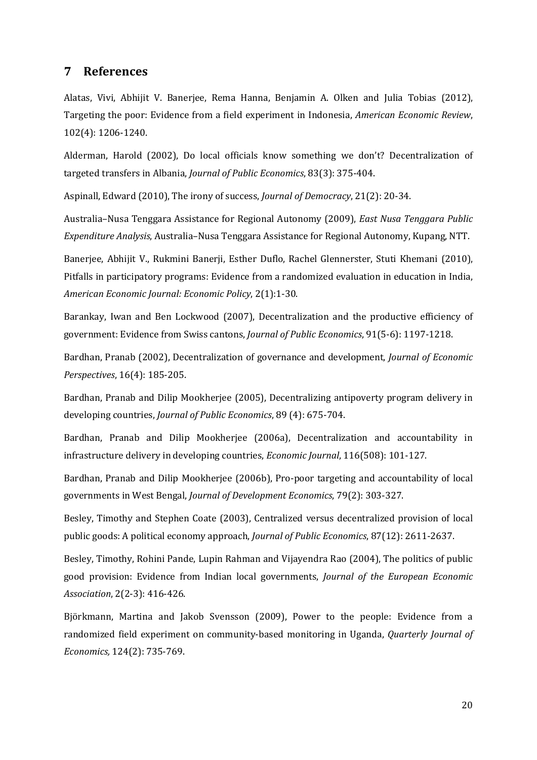#### **7 References**

Alatas, Vivi, Abhijit V. Banerjee, Rema Hanna, Benjamin A. Olken and Julia Tobias (2012), Targeting the poor: Evidence from a field experiment in Indonesia, *American Economic Review*, 102(4): 1206-1240.

Alderman, Harold (2002), Do local officials know something we don't? Decentralization of targeted transfers in Albania, *Journal of Public Economics*, 83(3): 375-404.

Aspinall, Edward (2010), The irony of success, *Journal of Democracy*, 21(2): 20-34.

Australia–Nusa Tenggara Assistance for Regional Autonomy (2009), *East Nusa Tenggara Public Expenditure Analysis*, Australia–Nusa Tenggara Assistance for Regional Autonomy, Kupang, NTT.

Banerjee, Abhijit V., Rukmini Banerji, Esther Duflo, Rachel Glennerster, Stuti Khemani (2010), Pitfalls in participatory programs: Evidence from a randomized evaluation in education in India, *American Economic Journal: Economic Policy*, 2(1):1-30.

Barankay, Iwan and Ben Lockwood (2007), Decentralization and the productive efficiency of government: Evidence from Swiss cantons, *Journal of Public Economics*, 91(5-6): 1197-1218.

Bardhan, Pranab (2002), Decentralization of governance and development, *Journal of Economic Perspectives*, 16(4): 185-205.

Bardhan, Pranab and Dilip Mookherjee (2005), Decentralizing antipoverty program delivery in developing countries, *Journal of Public Economics*, 89 (4): 675-704.

Bardhan, Pranab and Dilip Mookherjee (2006a), Decentralization and accountability in infrastructure delivery in developing countries, *Economic Journal*, 116(508): 101-127.

Bardhan, Pranab and Dilip Mookherjee (2006b), Pro-poor targeting and accountability of local governments in West Bengal, *Journal of Development Economics*, 79(2): 303-327.

Besley, Timothy and Stephen Coate (2003), Centralized versus decentralized provision of local public goods: A political economy approach, *Journal of Public Economics*, 87(12): 2611-2637.

Besley, Timothy, Rohini Pande, Lupin Rahman and Vijayendra Rao (2004), The politics of public good provision: Evidence from Indian local governments, *Journal of the European Economic Association*, 2(2-3): 416-426.

Björkmann, Martina and Jakob Svensson (2009), Power to the people: Evidence from a randomized field experiment on community-based monitoring in Uganda, *Quarterly Journal of Economics,* 124(2): 735-769.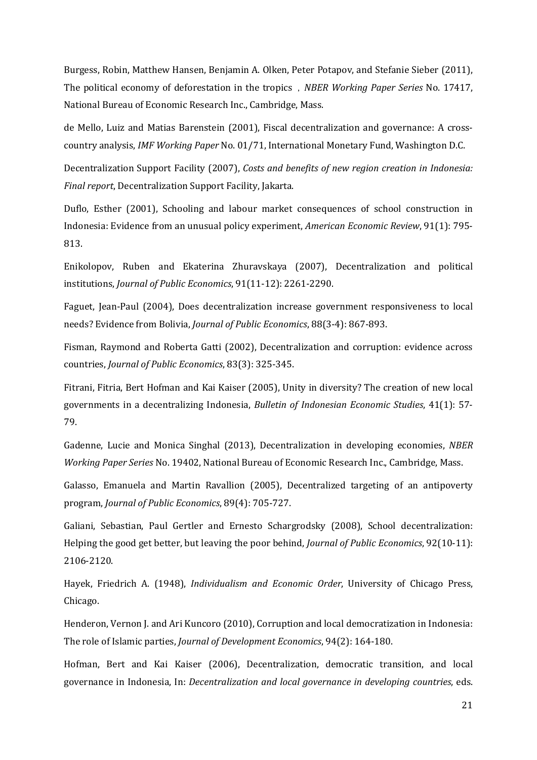Burgess, Robin, Matthew Hansen, Benjamin A. Olken, Peter Potapov, and Stefanie Sieber (2011), The political economy of deforestation in the tropics , *NBER Working Paper Series* No. 17417, National Bureau of Economic Research Inc., Cambridge, Mass.

de Mello, Luiz and Matias Barenstein (2001), Fiscal decentralization and governance: A crosscountry analysis, *IMF Working Paper* No. 01/71, International Monetary Fund, Washington D.C.

Decentralization Support Facility (2007), *Costs and benefits of new region creation in Indonesia: Final report*, Decentralization Support Facility, Jakarta.

Duflo, Esther (2001), Schooling and labour market consequences of school construction in Indonesia: Evidence from an unusual policy experiment, *American Economic Review*, 91(1): 795- 813.

Enikolopov, Ruben and Ekaterina Zhuravskaya (2007), Decentralization and political institutions, *Journal of Public Economics*, 91(11-12): 2261-2290.

Faguet, Jean-Paul (2004), Does decentralization increase government responsiveness to local needs? Evidence from Bolivia, *Journal of Public Economics*, 88(3-4): 867-893.

Fisman, Raymond and Roberta Gatti (2002), Decentralization and corruption: evidence across countries, *Journal of Public Economics*, 83(3): 325-345.

Fitrani, Fitria, Bert Hofman and Kai Kaiser (2005), Unity in diversity? The creation of new local governments in a decentralizing Indonesia, *Bulletin of Indonesian Economic Studies*, 41(1): 57- 79.

Gadenne, Lucie and Monica Singhal (2013), Decentralization in developing economies, *NBER Working Paper Series* No. 19402, National Bureau of Economic Research Inc., Cambridge, Mass.

Galasso, Emanuela and Martin Ravallion (2005), Decentralized targeting of an antipoverty program, *Journal of Public Economics*, 89(4): 705-727.

Galiani, Sebastian, Paul Gertler and Ernesto Schargrodsky (2008), School decentralization: Helping the good get better, but leaving the poor behind, *Journal of Public Economics*, 92(10-11): 2106-2120.

Hayek, Friedrich A. (1948), *Individualism and Economic Order*, University of Chicago Press, Chicago.

Henderon, Vernon J. and Ari Kuncoro (2010), Corruption and local democratization in Indonesia: The role of Islamic parties, *Journal of Development Economics*, 94(2): 164-180.

Hofman, Bert and Kai Kaiser (2006), Decentralization, democratic transition, and local governance in Indonesia, In: *Decentralization and local governance in developing countries*, eds.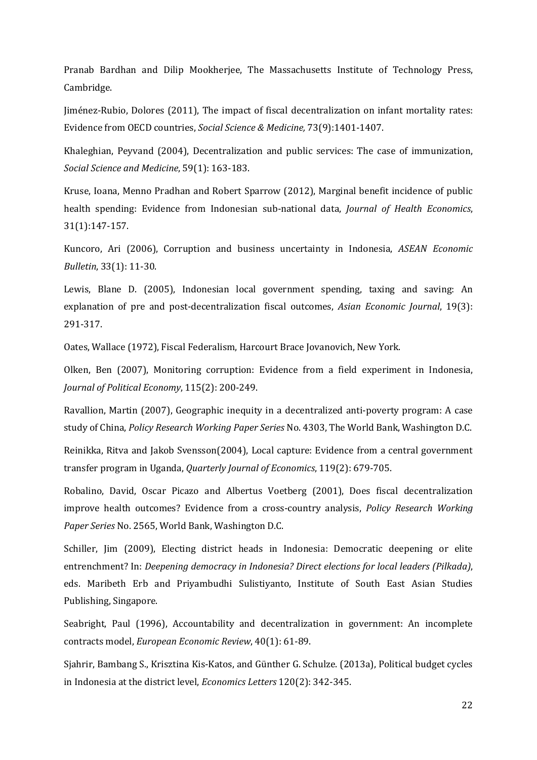Pranab Bardhan and Dilip Mookherjee, The Massachusetts Institute of Technology Press, Cambridge.

Jiménez-Rubio, Dolores (2011), The impact of fiscal decentralization on infant mortality rates: Evidence from OECD countries, *Social Science & Medicine,* 73(9):1401-1407.

Khaleghian, Peyvand (2004), Decentralization and public services: The case of immunization, *Social Science and Medicine*, 59(1): 163-183.

Kruse, Ioana, Menno Pradhan and Robert Sparrow (2012), Marginal benefit incidence of public health spending: Evidence from Indonesian sub-national data, *Journal of Health Economics*, 31(1):147-157.

Kuncoro, Ari (2006), Corruption and business uncertainty in Indonesia, *ASEAN Economic Bulletin*, 33(1): 11-30.

Lewis, Blane D. (2005), Indonesian local government spending, taxing and saving: An explanation of pre and post-decentralization fiscal outcomes, *Asian Economic Journal*, 19(3): 291-317.

Oates, Wallace (1972), Fiscal Federalism, Harcourt Brace Jovanovich, New York.

Olken, Ben (2007), Monitoring corruption: Evidence from a field experiment in Indonesia, *Journal of Political Economy*, 115(2): 200-249.

Ravallion, Martin (2007), Geographic inequity in a decentralized anti-poverty program: A case study of China, *Policy Research Working Paper Series* No. 4303, The World Bank, Washington D.C.

Reinikka, Ritva and Jakob Svensson(2004), Local capture: Evidence from a central government transfer program in Uganda, *Quarterly Journal of Economics*, 119(2): 679-705.

Robalino, David, Oscar Picazo and Albertus Voetberg (2001), Does fiscal decentralization improve health outcomes? Evidence from a cross-country analysis, *Policy Research Working Paper Series* No. 2565, World Bank, Washington D.C.

Schiller, Jim (2009), Electing district heads in Indonesia: Democratic deepening or elite entrenchment? In: *Deepening democracy in Indonesia? Direct elections for local leaders (Pilkada)*, eds. Maribeth Erb and Priyambudhi Sulistiyanto, Institute of South East Asian Studies Publishing, Singapore.

Seabright, Paul (1996), Accountability and decentralization in government: An incomplete contracts model, *European Economic Review*, 40(1): 61-89.

Sjahrir, Bambang S., Krisztina Kis-Katos, and Günther G. Schulze. (2013a), Political budget cycles in Indonesia at the district level, *Economics Letters* 120(2): 342-345.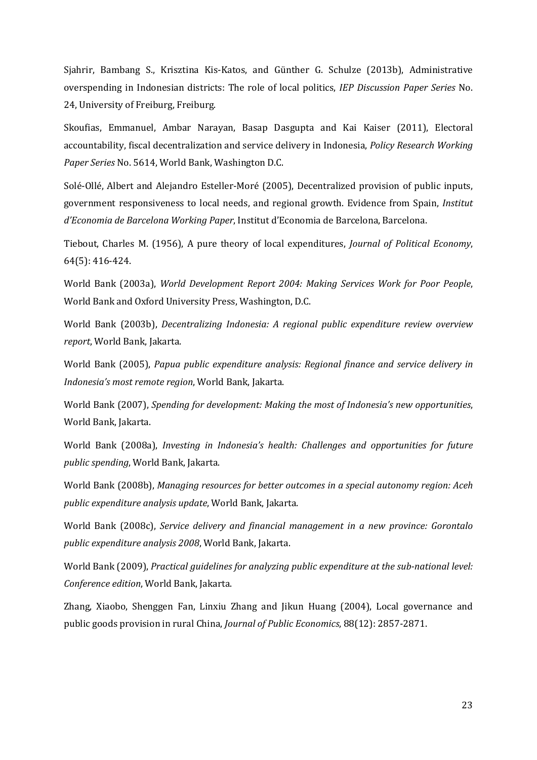Sjahrir, Bambang S., Krisztina Kis-Katos, and Günther G. Schulze (2013b), Administrative overspending in Indonesian districts: The role of local politics, *IEP Discussion Paper Series* No. 24, University of Freiburg, Freiburg.

Skoufias, Emmanuel, Ambar Narayan, Basap Dasgupta and Kai Kaiser (2011), Electoral accountability, fiscal decentralization and service delivery in Indonesia, *Policy Research Working Paper Series* No. 5614, World Bank, Washington D.C.

Solé-Ollé, Albert and Alejandro Esteller-Moré (2005), Decentralized provision of public inputs, government responsiveness to local needs, and regional growth. Evidence from Spain, *Institut d'Economia de Barcelona Working Paper*, Institut d'Economia de Barcelona, Barcelona.

Tiebout, Charles M. (1956), A pure theory of local expenditures, *Journal of Political Economy*, 64(5): 416-424.

World Bank (2003a), *World Development Report 2004: Making Services Work for Poor People*, World Bank and Oxford University Press, Washington, D.C.

World Bank (2003b), *Decentralizing Indonesia: A regional public expenditure review overview report*, World Bank, Jakarta.

World Bank (2005), *Papua public expenditure analysis: Regional finance and service delivery in Indonesia's most remote region*, World Bank, Jakarta.

World Bank (2007), *Spending for development: Making the most of Indonesia's new opportunities*, World Bank, Jakarta.

World Bank (2008a), *Investing in Indonesia's health: Challenges and opportunities for future public spending*, World Bank, Jakarta.

World Bank (2008b), *Managing resources for better outcomes in a special autonomy region: Aceh public expenditure analysis update*, World Bank, Jakarta.

World Bank (2008c), *Service delivery and financial management in a new province: Gorontalo public expenditure analysis 2008*, World Bank, Jakarta.

World Bank (2009), *Practical guidelines for analyzing public expenditure at the sub-national level: Conference edition*, World Bank, Jakarta.

Zhang, Xiaobo, Shenggen Fan, Linxiu Zhang and Jikun Huang (2004), Local governance and public goods provision in rural China, *Journal of Public Economics*, 88(12): 2857-2871.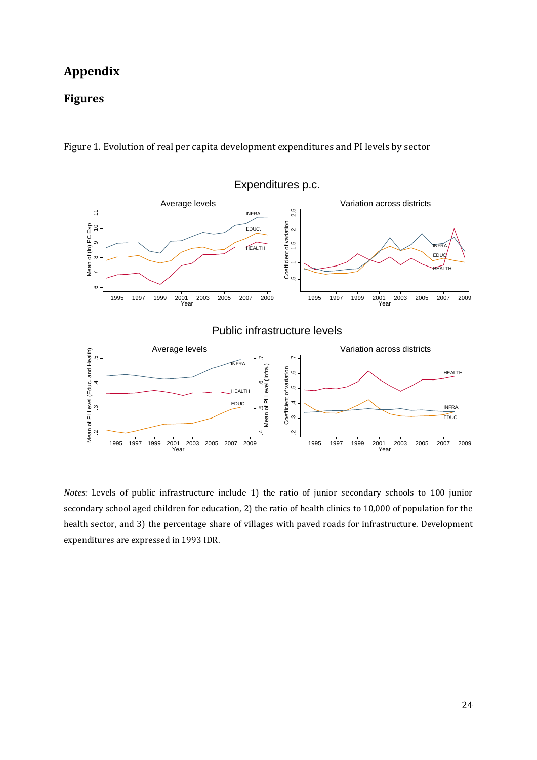# **Appendix**

#### **Figures**



Figure 1. Evolution of real per capita development expenditures and PI levels by sector

*Notes:* Levels of public infrastructure include 1) the ratio of junior secondary schools to 100 junior secondary school aged children for education, 2) the ratio of health clinics to 10,000 of population for the health sector, and 3) the percentage share of villages with paved roads for infrastructure. Development expenditures are expressed in 1993 IDR.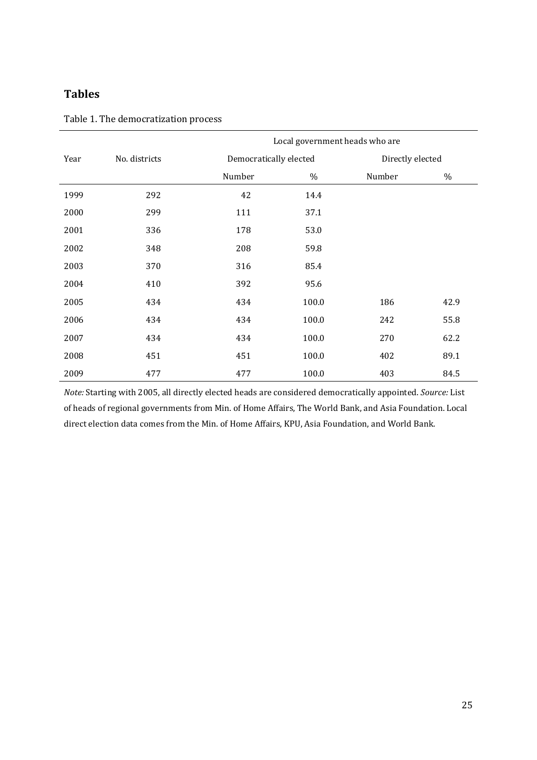### **Tables**

|      |               | Local government heads who are |                  |        |      |  |  |
|------|---------------|--------------------------------|------------------|--------|------|--|--|
| Year | No. districts | Democratically elected         | Directly elected |        |      |  |  |
|      |               | Number                         | $\%$             | Number | $\%$ |  |  |
| 1999 | 292           | 42                             | 14.4             |        |      |  |  |
| 2000 | 299           | 111                            | 37.1             |        |      |  |  |
| 2001 | 336           | 178                            | 53.0             |        |      |  |  |
| 2002 | 348           | 208                            | 59.8             |        |      |  |  |
| 2003 | 370           | 316                            | 85.4             |        |      |  |  |
| 2004 | 410           | 392                            | 95.6             |        |      |  |  |
| 2005 | 434           | 434                            | 100.0            | 186    | 42.9 |  |  |
| 2006 | 434           | 434                            | 100.0            | 242    | 55.8 |  |  |
| 2007 | 434           | 434                            | 100.0            | 270    | 62.2 |  |  |
| 2008 | 451           | 451                            | 100.0            | 402    | 89.1 |  |  |
| 2009 | 477           | 477                            | 100.0            | 403    | 84.5 |  |  |

| Table 1. The democratization process |  |
|--------------------------------------|--|
|--------------------------------------|--|

*Note:* Starting with 2005, all directly elected heads are considered democratically appointed. *Source:* List of heads of regional governments from Min. of Home Affairs, The World Bank, and Asia Foundation. Local direct election data comes from the Min. of Home Affairs, KPU, Asia Foundation, and World Bank.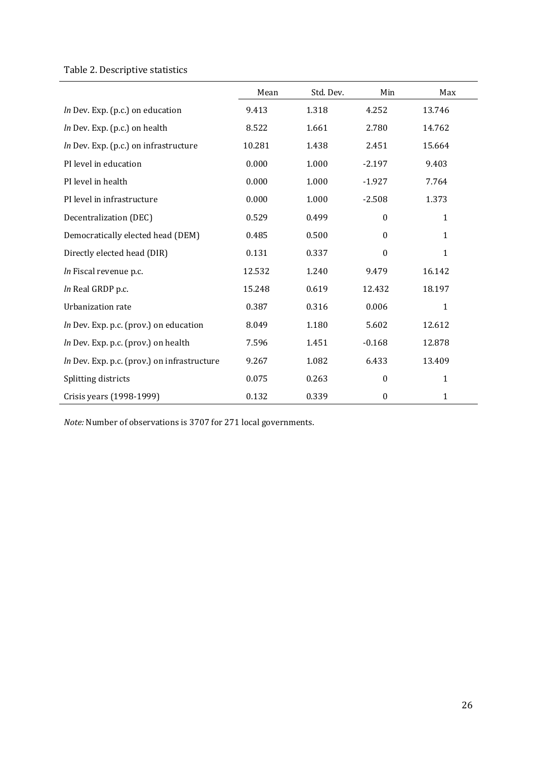# <span id="page-27-0"></span>Table 2. Descriptive statistics

|                                             | Mean   | Std. Dev. | Min          | Max          |
|---------------------------------------------|--------|-----------|--------------|--------------|
| In Dev. Exp. (p.c.) on education            | 9.413  | 1.318     | 4.252        | 13.746       |
| In Dev. Exp. (p.c.) on health               | 8.522  | 1.661     | 2.780        | 14.762       |
| In Dev. Exp. (p.c.) on infrastructure       | 10.281 | 1.438     | 2.451        | 15.664       |
| PI level in education                       | 0.000  | 1.000     | $-2.197$     | 9.403        |
| PI level in health                          | 0.000  | 1.000     | $-1.927$     | 7.764        |
| PI level in infrastructure                  | 0.000  | 1.000     | $-2.508$     | 1.373        |
| Decentralization (DEC)                      | 0.529  | 0.499     | $\theta$     | $\mathbf{1}$ |
| Democratically elected head (DEM)           | 0.485  | 0.500     | $\theta$     | $\mathbf{1}$ |
| Directly elected head (DIR)                 | 0.131  | 0.337     | $\mathbf{0}$ | $\mathbf{1}$ |
| In Fiscal revenue p.c.                      | 12.532 | 1.240     | 9.479        | 16.142       |
| In Real GRDP p.c.                           | 15.248 | 0.619     | 12.432       | 18.197       |
| Urbanization rate                           | 0.387  | 0.316     | 0.006        | $\mathbf{1}$ |
| In Dev. Exp. p.c. (prov.) on education      | 8.049  | 1.180     | 5.602        | 12.612       |
| In Dev. Exp. p.c. (prov.) on health         | 7.596  | 1.451     | $-0.168$     | 12.878       |
| In Dev. Exp. p.c. (prov.) on infrastructure | 9.267  | 1.082     | 6.433        | 13.409       |
| Splitting districts                         | 0.075  | 0.263     | $\theta$     | $\mathbf{1}$ |
| Crisis years (1998-1999)                    | 0.132  | 0.339     | $\mathbf{0}$ | $\mathbf{1}$ |

*Note:* Number of observations is 3707 for 271 local governments.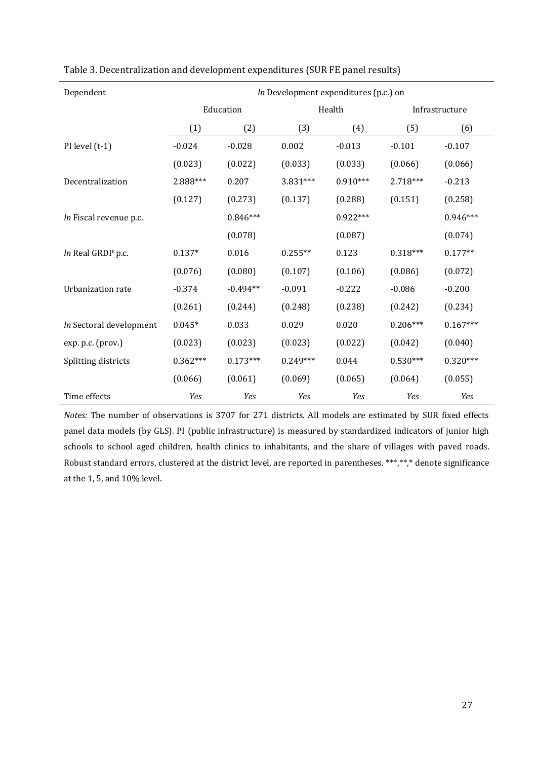| Dependent               | In Development expenditures (p.c.) on |            |            |            |            |                |  |
|-------------------------|---------------------------------------|------------|------------|------------|------------|----------------|--|
|                         | Education                             |            |            | Health     |            | Infrastructure |  |
|                         | (1)                                   | (2)        | (3)        | (4)        | (5)        | (6)            |  |
| PI level $(t-1)$        | $-0.024$                              | $-0.028$   | 0.002      | $-0.013$   | $-0.101$   | $-0.107$       |  |
|                         | (0.023)                               | (0.022)    | (0.033)    | (0.033)    | (0.066)    | (0.066)        |  |
| Decentralization        | 2.888***                              | 0.207      | $3.831***$ | $0.910***$ | 2.718***   | $-0.213$       |  |
|                         | (0.127)                               | (0.273)    | (0.137)    | (0.288)    | (0.151)    | (0.258)        |  |
| In Fiscal revenue p.c.  |                                       | $0.846***$ |            | $0.922***$ |            | $0.946***$     |  |
|                         |                                       | (0.078)    |            | (0.087)    |            | (0.074)        |  |
| In Real GRDP p.c.       | $0.137*$                              | 0.016      | $0.255**$  | 0.123      | $0.318***$ | $0.177**$      |  |
|                         | (0.076)                               | (0.080)    | (0.107)    | (0.106)    | (0.086)    | (0.072)        |  |
| Urbanization rate       | $-0.374$                              | $-0.494**$ | $-0.091$   | $-0.222$   | $-0.086$   | $-0.200$       |  |
|                         | (0.261)                               | (0.244)    | (0.248)    | (0.238)    | (0.242)    | (0.234)        |  |
| In Sectoral development | $0.045*$                              | 0.033      | 0.029      | 0.020      | $0.206***$ | $0.167***$     |  |
| exp. p.c. (prov.)       | (0.023)                               | (0.023)    | (0.023)    | (0.022)    | (0.042)    | (0.040)        |  |
| Splitting districts     | $0.362***$                            | $0.173***$ | $0.249***$ | 0.044      | $0.530***$ | $0.320***$     |  |
|                         | (0.066)                               | (0.061)    | (0.069)    | (0.065)    | (0.064)    | (0.055)        |  |
| Time effects            | Yes                                   | Yes        | Yes        | Yes        | Yes        | Yes            |  |

<span id="page-28-0"></span>Table 3. Decentralization and development expenditures (SUR FE panel results)

*Notes:* The number of observations is 3707 for 271 districts. All models are estimated by SUR fixed effects panel data models (by GLS). PI (public infrastructure) is measured by standardized indicators of junior high schools to school aged children, health clinics to inhabitants, and the share of villages with paved roads. Robust standard errors, clustered at the district level, are reported in parentheses. \*\*\*,\*\*,\* denote significance at the 1, 5, and 10% level.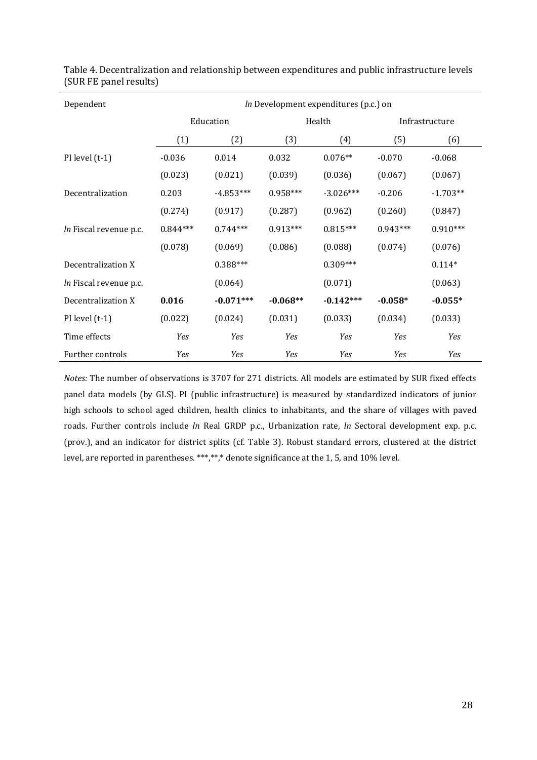| Dependent                     | In Development expenditures (p.c.) on |             |            |             |                |            |  |  |
|-------------------------------|---------------------------------------|-------------|------------|-------------|----------------|------------|--|--|
|                               | Education                             |             |            | Health      | Infrastructure |            |  |  |
|                               | (1)                                   | (2)         | (3)        | (4)         | (5)            | (6)        |  |  |
| PI level $(t-1)$              | $-0.036$                              | 0.014       | 0.032      | $0.076**$   | $-0.070$       | $-0.068$   |  |  |
|                               | (0.023)                               | (0.021)     | (0.039)    | (0.036)     | (0.067)        | (0.067)    |  |  |
| Decentralization              | 0.203                                 | $-4.853***$ | $0.958***$ | $-3.026***$ | $-0.206$       | $-1.703**$ |  |  |
|                               | (0.274)                               | (0.917)     | (0.287)    | (0.962)     | (0.260)        | (0.847)    |  |  |
| In Fiscal revenue p.c.        | $0.844***$                            | $0.744***$  | $0.913***$ | $0.815***$  | $0.943***$     | $0.910***$ |  |  |
|                               | (0.078)                               | (0.069)     | (0.086)    | (0.088)     | (0.074)        | (0.076)    |  |  |
| Decentralization X            |                                       | $0.388***$  |            | $0.309***$  |                | $0.114*$   |  |  |
| <i>In</i> Fiscal revenue p.c. |                                       | (0.064)     |            | (0.071)     |                | (0.063)    |  |  |
| Decentralization X            | 0.016                                 | $-0.071***$ | $-0.068**$ | $-0.142***$ | $-0.058*$      | $-0.055*$  |  |  |
| PI level $(t-1)$              | (0.022)                               | (0.024)     | (0.031)    | (0.033)     | (0.034)        | (0.033)    |  |  |
| Time effects                  | Yes                                   | Yes         | Yes        | Yes         | Yes            | Yes        |  |  |
| Further controls              | Yes                                   | Yes         | Yes        | Yes         | Yes            | Yes        |  |  |

<span id="page-29-0"></span>Table 4. Decentralization and relationship between expenditures and public infrastructure levels (SUR FE panel results)

*Notes:* The number of observations is 3707 for 271 districts. All models are estimated by SUR fixed effects panel data models (by GLS). PI (public infrastructure) is measured by standardized indicators of junior high schools to school aged children, health clinics to inhabitants, and the share of villages with paved roads. Further controls include *ln* Real GRDP p.c., Urbanization rate, *ln* Sectoral development exp. p.c. (prov.), and an indicator for district splits (cf. Table 3). Robust standard errors, clustered at the district level, are reported in parentheses. \*\*\*,\*\*,\* denote significance at the 1, 5, and 10% level.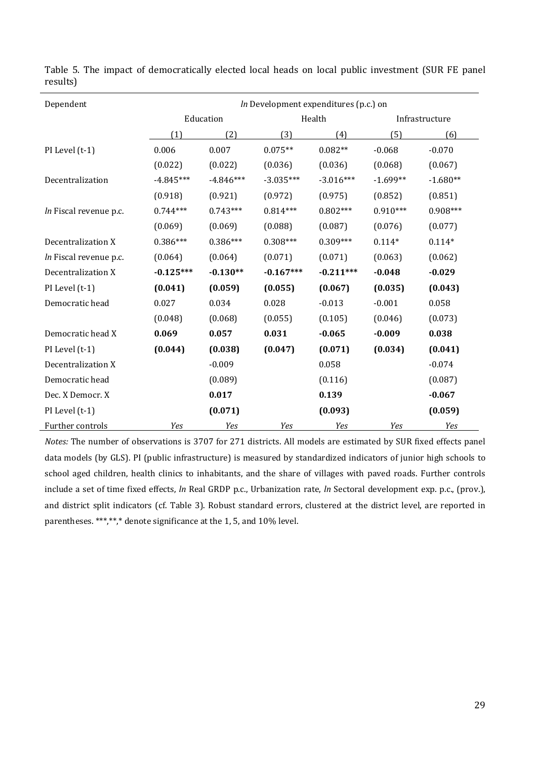| Dependent              |             | In Development expenditures (p.c.) on |             |             |                |            |
|------------------------|-------------|---------------------------------------|-------------|-------------|----------------|------------|
|                        |             | Education                             | Health      |             | Infrastructure |            |
|                        | (1)         | (2)                                   | (3)         | (4)         | (5)            | (6)        |
| PI Level (t-1)         | 0.006       | 0.007                                 | $0.075**$   | $0.082**$   | $-0.068$       | $-0.070$   |
|                        | (0.022)     | (0.022)                               | (0.036)     | (0.036)     | (0.068)        | (0.067)    |
| Decentralization       | $-4.845***$ | $-4.846***$                           | $-3.035***$ | $-3.016***$ | $-1.699**$     | $-1.680**$ |
|                        | (0.918)     | (0.921)                               | (0.972)     | (0.975)     | (0.852)        | (0.851)    |
| In Fiscal revenue p.c. | $0.744***$  | $0.743***$                            | $0.814***$  | $0.802***$  | $0.910***$     | $0.908***$ |
|                        | (0.069)     | (0.069)                               | (0.088)     | (0.087)     | (0.076)        | (0.077)    |
| Decentralization X     | $0.386***$  | $0.386***$                            | $0.308***$  | $0.309***$  | $0.114*$       | $0.114*$   |
| In Fiscal revenue p.c. | (0.064)     | (0.064)                               | (0.071)     | (0.071)     | (0.063)        | (0.062)    |
| Decentralization X     | $-0.125***$ | $-0.130**$                            | $-0.167***$ | $-0.211***$ | $-0.048$       | $-0.029$   |
| PI Level (t-1)         | (0.041)     | (0.059)                               | (0.055)     | (0.067)     | (0.035)        | (0.043)    |
| Democratic head        | 0.027       | 0.034                                 | 0.028       | $-0.013$    | $-0.001$       | 0.058      |
|                        | (0.048)     | (0.068)                               | (0.055)     | (0.105)     | (0.046)        | (0.073)    |
| Democratic head X      | 0.069       | 0.057                                 | 0.031       | $-0.065$    | $-0.009$       | 0.038      |
| PI Level (t-1)         | (0.044)     | (0.038)                               | (0.047)     | (0.071)     | (0.034)        | (0.041)    |
| Decentralization X     |             | $-0.009$                              |             | 0.058       |                | $-0.074$   |
| Democratic head        |             | (0.089)                               |             | (0.116)     |                | (0.087)    |
| Dec. X Democr. X       |             | 0.017                                 |             | 0.139       |                | $-0.067$   |
| PI Level (t-1)         |             | (0.071)                               |             | (0.093)     |                | (0.059)    |
| Further controls       | Yes         | Yes                                   | Yes         | Yes         | Yes            | Yes        |

<span id="page-30-0"></span>Table 5. The impact of democratically elected local heads on local public investment (SUR FE panel results)

*Notes:* The number of observations is 3707 for 271 districts. All models are estimated by SUR fixed effects panel data models (by GLS). PI (public infrastructure) is measured by standardized indicators of junior high schools to school aged children, health clinics to inhabitants, and the share of villages with paved roads. Further controls include a set of time fixed effects, *ln* Real GRDP p.c., Urbanization rate, *ln* Sectoral development exp. p.c., (prov.), and district split indicators (cf. Table 3). Robust standard errors, clustered at the district level, are reported in parentheses. \*\*\*,\*\*,\* denote significance at the 1, 5, and 10% level.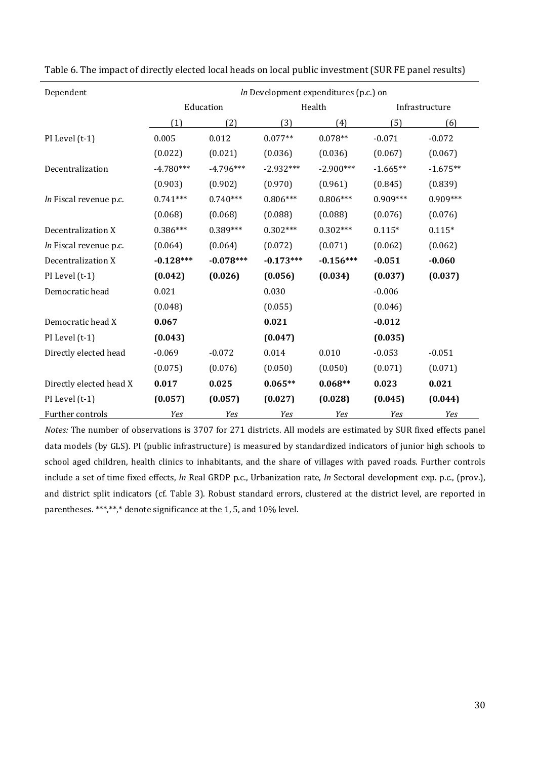| Dependent               |             | In Development expenditures (p.c.) on |             |             |                |            |  |
|-------------------------|-------------|---------------------------------------|-------------|-------------|----------------|------------|--|
|                         | Education   |                                       | Health      |             | Infrastructure |            |  |
|                         | (1)         | (2)                                   | (3)         | (4)         | (5)            | (6)        |  |
| PI Level (t-1)          | 0.005       | 0.012                                 | $0.077**$   | $0.078**$   | $-0.071$       | $-0.072$   |  |
|                         | (0.022)     | (0.021)                               | (0.036)     | (0.036)     | (0.067)        | (0.067)    |  |
| Decentralization        | $-4.780***$ | $-4.796***$                           | $-2.932***$ | $-2.900***$ | $-1.665**$     | $-1.675**$ |  |
|                         | (0.903)     | (0.902)                               | (0.970)     | (0.961)     | (0.845)        | (0.839)    |  |
| In Fiscal revenue p.c.  | $0.741***$  | $0.740***$                            | $0.806***$  | $0.806***$  | 0.909***       | $0.909***$ |  |
|                         | (0.068)     | (0.068)                               | (0.088)     | (0.088)     | (0.076)        | (0.076)    |  |
| Decentralization X      | $0.386***$  | $0.389***$                            | $0.302***$  | $0.302***$  | $0.115*$       | $0.115*$   |  |
| In Fiscal revenue p.c.  | (0.064)     | (0.064)                               | (0.072)     | (0.071)     | (0.062)        | (0.062)    |  |
| Decentralization X      | $-0.128***$ | $-0.078***$                           | $-0.173***$ | $-0.156***$ | $-0.051$       | $-0.060$   |  |
| PI Level (t-1)          | (0.042)     | (0.026)                               | (0.056)     | (0.034)     | (0.037)        | (0.037)    |  |
| Democratic head         | 0.021       |                                       | 0.030       |             | $-0.006$       |            |  |
|                         | (0.048)     |                                       | (0.055)     |             | (0.046)        |            |  |
| Democratic head X       | 0.067       |                                       | 0.021       |             | $-0.012$       |            |  |
| PI Level (t-1)          | (0.043)     |                                       | (0.047)     |             | (0.035)        |            |  |
| Directly elected head   | $-0.069$    | $-0.072$                              | 0.014       | 0.010       | $-0.053$       | $-0.051$   |  |
|                         | (0.075)     | (0.076)                               | (0.050)     | (0.050)     | (0.071)        | (0.071)    |  |
| Directly elected head X | 0.017       | 0.025                                 | $0.065**$   | $0.068**$   | 0.023          | 0.021      |  |
| PI Level (t-1)          | (0.057)     | (0.057)                               | (0.027)     | (0.028)     | (0.045)        | (0.044)    |  |
| Further controls        | Yes         | Yes                                   | Yes         | Yes         | Yes            | Yes        |  |

Table 6. The impact of directly elected local heads on local public investment (SUR FE panel results)

*Notes:* The number of observations is 3707 for 271 districts. All models are estimated by SUR fixed effects panel data models (by GLS). PI (public infrastructure) is measured by standardized indicators of junior high schools to school aged children, health clinics to inhabitants, and the share of villages with paved roads. Further controls include a set of time fixed effects, *ln* Real GRDP p.c., Urbanization rate, *ln* Sectoral development exp. p.c., (prov.), and district split indicators (cf. Table 3). Robust standard errors, clustered at the district level, are reported in parentheses. \*\*\*,\*\*,\* denote significance at the 1, 5, and 10% level.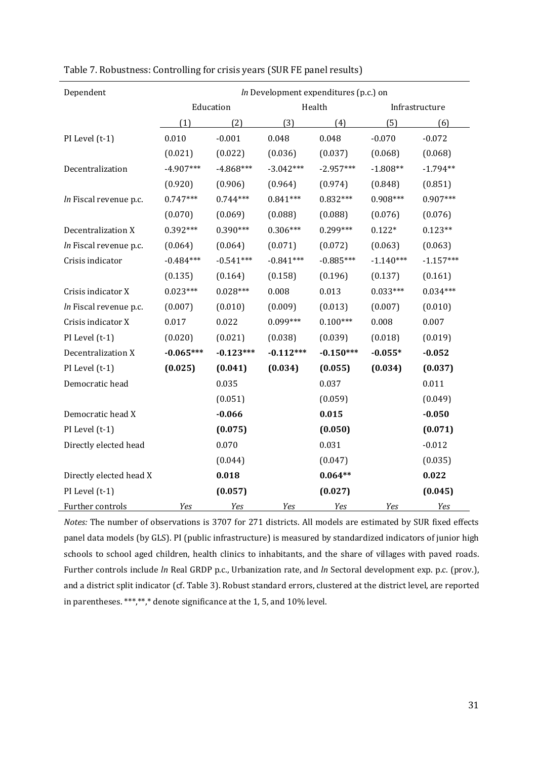| Dependent               |             |             | In Development expenditures (p.c.) on |             |                |             |
|-------------------------|-------------|-------------|---------------------------------------|-------------|----------------|-------------|
|                         | Education   |             | Health                                |             | Infrastructure |             |
|                         | (1)         | (2)         | (3)                                   | (4)         | (5)            | (6)         |
| PI Level (t-1)          | 0.010       | $-0.001$    | 0.048                                 | 0.048       | $-0.070$       | $-0.072$    |
|                         | (0.021)     | (0.022)     | (0.036)                               | (0.037)     | (0.068)        | (0.068)     |
| Decentralization        | $-4.907***$ | $-4.868***$ | $-3.042***$                           | $-2.957***$ | $-1.808**$     | $-1.794**$  |
|                         | (0.920)     | (0.906)     | (0.964)                               | (0.974)     | (0.848)        | (0.851)     |
| In Fiscal revenue p.c.  | $0.747***$  | $0.744***$  | $0.841***$                            | $0.832***$  | $0.908***$     | $0.907***$  |
|                         | (0.070)     | (0.069)     | (0.088)                               | (0.088)     | (0.076)        | (0.076)     |
| Decentralization X      | $0.392***$  | $0.390***$  | $0.306***$                            | $0.299***$  | $0.122*$       | $0.123**$   |
| In Fiscal revenue p.c.  | (0.064)     | (0.064)     | (0.071)                               | (0.072)     | (0.063)        | (0.063)     |
| Crisis indicator        | $-0.484***$ | $-0.541***$ | $-0.841***$                           | $-0.885***$ | $-1.140***$    | $-1.157***$ |
|                         | (0.135)     | (0.164)     | (0.158)                               | (0.196)     | (0.137)        | (0.161)     |
| Crisis indicator X      | $0.023***$  | $0.028***$  | 0.008                                 | 0.013       | $0.033***$     | $0.034***$  |
| In Fiscal revenue p.c.  | (0.007)     | (0.010)     | (0.009)                               | (0.013)     | (0.007)        | (0.010)     |
| Crisis indicator X      | 0.017       | 0.022       | 0.099***                              | $0.100***$  | 0.008          | 0.007       |
| PI Level (t-1)          | (0.020)     | (0.021)     | (0.038)                               | (0.039)     | (0.018)        | (0.019)     |
| Decentralization X      | $-0.065***$ | $-0.123***$ | $-0.112***$                           | $-0.150***$ | $-0.055*$      | $-0.052$    |
| PI Level (t-1)          | (0.025)     | (0.041)     | (0.034)                               | (0.055)     | (0.034)        | (0.037)     |
| Democratic head         |             | 0.035       |                                       | 0.037       |                | 0.011       |
|                         |             | (0.051)     |                                       | (0.059)     |                | (0.049)     |
| Democratic head X       |             | $-0.066$    |                                       | 0.015       |                | $-0.050$    |
| PI Level (t-1)          |             | (0.075)     |                                       | (0.050)     |                | (0.071)     |
| Directly elected head   |             | 0.070       |                                       | 0.031       |                | $-0.012$    |
|                         |             | (0.044)     |                                       | (0.047)     |                | (0.035)     |
| Directly elected head X |             | 0.018       |                                       | $0.064**$   |                | 0.022       |
| PI Level (t-1)          |             | (0.057)     |                                       | (0.027)     |                | (0.045)     |
| Further controls        | Yes         | Yes         | Yes                                   | Yes         | Yes            | <b>Yes</b>  |

<span id="page-32-0"></span>

*Notes:* The number of observations is 3707 for 271 districts. All models are estimated by SUR fixed effects panel data models (by GLS). PI (public infrastructure) is measured by standardized indicators of junior high schools to school aged children, health clinics to inhabitants, and the share of villages with paved roads. Further controls include *ln* Real GRDP p.c., Urbanization rate, and *ln* Sectoral development exp. p.c. (prov.), and a district split indicator (cf. Table 3). Robust standard errors, clustered at the district level, are reported in parentheses. \*\*\*,\*\*,\* denote significance at the 1, 5, and 10% level.